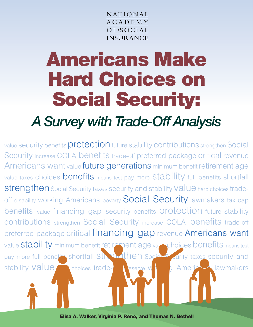NATIONAL **ACADEMY**  $O$ F·SOCIAL **INSURANCE** 

# Americans Make Hard Choices on Social Security:

# *A Survey with Trade-Off Analysis*

value security benefits protection future stability contributions strengthen Social Security increase COLA benefits trade-off preferred package critical revenue Americans want value future generations minimum benefit retirement age value taxes choices benefits means test pay more Stability full benefits shortfall strengthen Social Security taxes security and stability Value hard choices tradeoff disability working Americans poverty Social Security lawmakers tax cap benefits value financing gap security benefits protection future stability contributions strengthen Social Security increase COLA benefits trade-off preferred package critical financing gap revenue Americans want value **Stability** minimum benefit retirement age value choices benefits means test pay more full benefts shortfall Street then Social Security taxes security and stability Value choices trade-off preserve working Americans lawmakers

Elisa A. Walker, Virginia P. Reno, and Thomas N. Bethell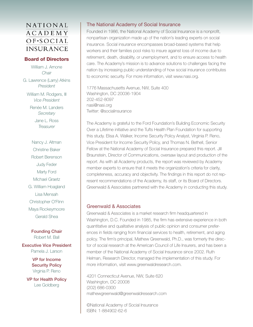# NATIONAL ACADEMY  $OF-SOCIAL$ **INSURANCE**

#### Board of Directors

William J. Arnone *Chair* G. Lawrence (Larry) Atkins *President*

William M. Rodgers, III *Vice President*

Renée M. Landers *Secretary* Jane L. Ross *Treasurer*

Nancy J. Altman Christine Baker Robert Berenson Judy Feder Marty Ford Michael Graetz G. William Hoagland Lisa Mensah Christopher O'Flinn Maya Rockeymoore Gerald Shea

Founding Chair Robert M. Ball

Executive Vice President Pamela J. Larson

> VP for Income Security Policy Virginia P. Reno

VP for Health Policy Lee Goldberg

#### The National Academy of Social Insurance

Founded in 1986, the National Academy of Social Insurance is a nonprofit, nonpartisan organization made up of the nation's leading experts on social insurance. Social insurance encompasses broad-based systems that help workers and their families pool risks to insure against loss of income due to retirement, death, disability, or unemployment, and to ensure access to health care. The Academy's mission is to advance solutions to challenges facing the nation by increasing public understanding of how social insurance contributes to economic security. For more information, visit www.nasi.org.

1776 Massachusetts Avenue, NW, Suite 400 Washington, DC 20036-1904 202-452-8097 nasi@nasi.org Twitter: @socialinsurance

The Academy is grateful to the Ford Foundation's Building Economic Security Over a Lifetime initiative and the Tufts Health Plan Foundation for supporting this study. Elisa A. Walker, Income Security Policy Analyst, Virginia P. Reno, Vice President for Income Security Policy, and Thomas N. Bethell, Senior Fellow at the National Academy of Social Insurance prepared this report. Jill Braunstein, Director of Communications, oversaw layout and production of the report. As with all Academy products, the report was reviewed by Academy member experts to ensure that it meets the organization's criteria for clarity, completeness, accuracy and objectivity. The findings in this report do not represent recommendations of the Academy, its staff, or its Board of Directors. Greenwald & Associates partnered with the Academy in conducting this study.

#### Greenwald & Associates

Greenwald & Associates is a market research firm headquartered in Washington, D.C. Founded in 1985, the firm has extensive experience in both quantitative and qualitative analysis of public opinion and consumer preferences in fields ranging from financial services to health, retirement, and aging policy. The firm's principal, Mathew Greenwald, Ph.D., was formerly the director of social research at the American Council of Life Insurers, and has been a member of the National Academy of Social Insurance since 2002. Ruth Helman, Research Director, managed the implementation of this study. For more information, visit www.greenwaldresearch.com.

4201 Connecticut Avenue, NW, Suite 620 Washington, DC 20008 (202) 686-0300 mathewgreenwald@greenwaldresearch.com

©National Academy of Social Insurance ISBN: 1-884902-62-6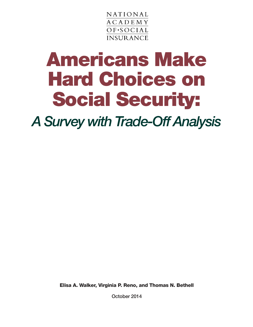NATIONAL **ACADEMY**  $OF-SOCIAL$ **INSURANCE** 

# Americans Make Hard Choices on Social Security:

*A Survey with Trade-Off Analysis*

Elisa A. Walker, Virginia P. Reno, and Thomas N. Bethell

October 2014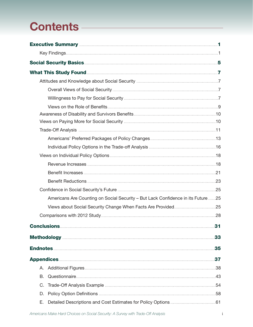# **Contents-**

|    | What This Study Found <b>Example 20</b> 17                                        |     |
|----|-----------------------------------------------------------------------------------|-----|
|    |                                                                                   |     |
|    |                                                                                   |     |
|    |                                                                                   |     |
|    |                                                                                   |     |
|    |                                                                                   |     |
|    |                                                                                   |     |
|    |                                                                                   |     |
|    |                                                                                   |     |
|    |                                                                                   |     |
|    |                                                                                   |     |
|    |                                                                                   |     |
|    |                                                                                   |     |
|    |                                                                                   |     |
|    |                                                                                   |     |
|    | Americans Are Counting on Social Security - But Lack Confidence in its Future  25 |     |
|    |                                                                                   |     |
|    |                                                                                   |     |
|    |                                                                                   |     |
|    |                                                                                   | 33  |
|    |                                                                                   | 35  |
|    |                                                                                   | .37 |
| А. |                                                                                   |     |
| В. |                                                                                   |     |
| C. |                                                                                   |     |
| D. |                                                                                   |     |
| Е. |                                                                                   |     |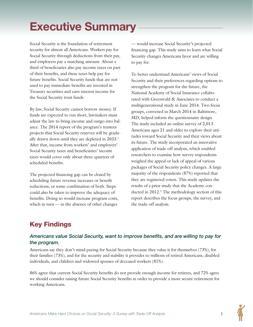# **Executive Summary**

Social Security is the foundation of retirement security for almost all Americans. Workers pay for Social Security through deductions from their pay, and employers pay a matching amount. About a third of beneficiaries also pay income taxes on part of their benefits, and these taxes help pay for future benefits. Social Security funds that are not used to pay immediate benefits are invested in Treasury securities and earn interest income for the Social Security trust funds.

By law, Social Security cannot borrow money. If funds are expected to run short, lawmakers must adjust the law to bring income and outgo into balance. The 2014 report of the program's trustees projects that Social Security reserves will be gradually drawn down until they are depleted in 2033.<sup>1</sup> After that, income from workers' and employers' Social Security taxes and beneficiaries' income taxes would cover only about three-quarters of scheduled benefits.

The projected financing gap can be closed by scheduling future revenue increases or benefit reductions, or some combination of both. Steps could also be taken to improve the adequacy of benefits. Doing so would increase program costs, which in turn — in the absence of other changes

— would increase Social Security's projected financing gap. This study aims to learn what Social Security changes Americans favor and are willing to pay for.

To better understand Americans' views of Social Security and their preferences regarding options to strengthen the program for the future, the National Academy of Social Insurance collaborated with Greenwald & Associates to conduct a multigenerational study in June 2014. Two focus groups, convened in March 2014 in Baltimore, MD, helped inform the questionnaire design. The study included an online survey of 2,013 Americans ages 21 and older to explore their attitudes toward Social Security and their views about its future. The study incorporated an innovative application of trade-off analysis, which enabled researchers to examine how survey respondents weighed the appeal or lack of appeal of various packages of Social Security policy changes. A large majority of the respondents (87%) reported that they are registered voters. This study updates the results of a prior study that the Academy conducted in 2012.<sup>2</sup> The methodology section of this report describes the focus groups, the survey, and the trade-off analysis.

# Key Findings

#### *Americans value Social Security, want to improve benefits, and are willing to pay for the program.*

Americans say they don't mind paying for Social Security because they value it for themselves (73%), for their families (73%), and for the security and stability it provides to millions of retired Americans, disabled individuals, and children and widowed spouses of deceased workers (81%).

86% agree that current Social Security benefits do not provide enough income for retirees, and 72% agree we should consider raising future Social Security benefits in order to provide a more secure retirement for working Americans.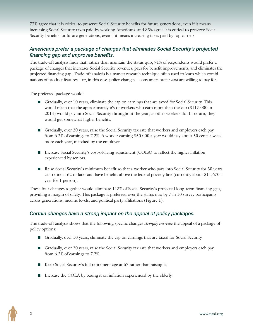77% agree that it is critical to preserve Social Security benefits for future generations, even if it means increasing Social Security taxes paid by working Americans, and 83% agree it is critical to preserve Social Security benefits for future generations, even if it means increasing taxes paid by top earners.

#### *Americans prefer a package of changes that eliminates Social Security's projected financing gap and improves benefits.*

The trade-off analysis finds that, rather than maintain the status quo, 71% of respondents would prefer a package of changes that increases Social Security revenues, pays for benefit improvements, and eliminates the projected financing gap. Trade-off analysis is a market research technique often used to learn which combinations of product features – or, in this case, policy changes – consumers prefer *and* are willing to pay for.

The preferred package would:

- Gradually, over 10 years, eliminate the cap on earnings that are taxed for Social Security. This would mean that the approximately 6% of workers who earn more than the cap (\$117,000 in 2014) would pay into Social Security throughout the year, as other workers do. In return, they would get somewhat higher benefits.
- Gradually, over 20 years, raise the Social Security tax rate that workers and employers each pay from 6.2% of earnings to 7.2%. A worker earning \$50,000 a year would pay about 50 cents a week more each year, matched by the employer.
- Increase Social Security's cost-of-living adjustment (COLA) to reflect the higher inflation experienced by seniors.
- Raise Social Security's minimum benefit so that a worker who pays into Social Security for 30 years can retire at 62 or later and have benefits above the federal poverty line (currently about \$11,670 a year for 1 person).

These four changes together would eliminate 113% of Social Security's projected long-term financing gap, providing a margin of safety. This package is preferred over the status quo by 7 in 10 survey participants across generations, income levels, and political party affiliations (Figure 1).

#### *Certain changes have a strong impact on the appeal of policy packages.*

The trade-off analysis shows that the following specific changes *strongly increase* the appeal of a package of policy options:

- Gradually, over 10 years, eliminate the cap on earnings that are taxed for Social Security.
- Gradually, over 20 years, raise the Social Security tax rate that workers and employers each pay from 6.2% of earnings to 7.2%.
- Keep Social Security's full retirement age at 67 rather than raising it.
- Increase the COLA by basing it on inflation experienced by the elderly.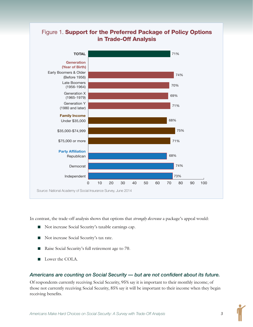# Figure 1. Support for the Preferred Package of Policy Options in Trade-Off Analysis



In contrast, the trade-off analysis shows that options that *strongly decrease* a package's appeal would:

- Not increase Social Security's taxable earnings cap.
- Not increase Social Security's tax rate.
- Raise Social Security's full retirement age to 70.
- Lower the COLA.

#### *Americans are counting on Social Security — but are not confident about its future.*

Of respondents currently receiving Social Security, 95% say it is important to their monthly income; of those not currently receiving Social Security, 85% say it will be important to their income when they begin receiving benefits.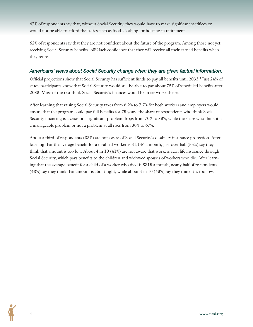67% of respondents say that, without Social Security, they would have to make significant sacrifices or would not be able to afford the basics such as food, clothing, or housing in retirement.

62% of respondents say that they are not confident about the future of the program. Among those not yet receiving Social Security benefits, 68% lack confidence that they will receive all their earned benefits when they retire.

#### *Americans' views about Social Security change when they are given factual information.*

Official projections show that Social Security has sufficient funds to pay all benefits until 2033.<sup>3</sup> Just 24% of study participants know that Social Security would still be able to pay about 75% of scheduled benefits after 2033. Most of the rest think Social Security's finances would be in far worse shape.

After learning that raising Social Security taxes from 6.2% to 7.7% for both workers and employers would ensure that the program could pay full benefits for 75 years, the share of respondents who think Social Security financing is a crisis or a significant problem drops from 70% to 33%, while the share who think it is a manageable problem or not a problem at all rises from 30% to 67%.

About a third of respondents (33%) are not aware of Social Security's disability insurance protection. After learning that the average benefit for a disabled worker is \$1,146 a month, just over half (55%) say they think that amount is too low. About 4 in 10 (41%) are not aware that workers earn life insurance through Social Security, which pays benefits to the children and widowed spouses of workers who die. After learning that the average benefit for a child of a worker who died is \$815 a month, nearly half of respondents (48%) say they think that amount is about right, while about 4 in 10 (43%) say they think it is too low.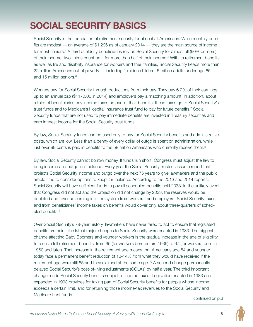# **SOCIAL SECURITY BASICS**

Social Security is the foundation of retirement security for almost all Americans. While monthly benefits are modest — an average of \$1,296 as of January 2014 — they are the main source of income for most seniors.<sup>4</sup> A third of elderly beneficiaries rely on Social Security for almost all (90% or more) of their income; two-thirds count on it for more than half of their income.<sup>5</sup> With its retirement benefits as well as life and disability insurance for workers and their families, Social Security keeps more than 22 million Americans out of poverty — including 1 million children, 6 million adults under age 65, and 15 million seniors.<sup>6</sup>

Workers pay for Social Security through deductions from their pay. They pay 6.2% of their earnings up to an annual cap (\$117,000 in 2014) and employers pay a matching amount. In addition, about a third of beneficiaries pay income taxes on part of their benefits; these taxes go to Social Security's trust funds and to Medicare's Hospital Insurance trust fund to pay for future benefits.<sup>7</sup> Social Security funds that are not used to pay immediate benefits are invested in Treasury securities and earn interest income for the Social Security trust funds.

By law, Social Security funds can be used only to pay for Social Security benefits and administrative costs, which are low. Less than a penny of every dollar of outgo is spent on administration, while just over 99 cents is paid in benefits to the 58 million Americans who currently receive them.<sup>8</sup>

By law, Social Security cannot borrow money. If funds run short, Congress must adjust the law to bring income and outgo into balance. Every year the Social Security trustees issue a report that projects Social Security income and outgo over the next 75 years to give lawmakers and the public ample time to consider options to keep it in balance. According to the 2013 and 2014 reports, Social Security will have sufficient funds to pay all scheduled benefits until 2033. In the unlikely event that Congress did not act and the projection did not change by 2033, the reserves would be depleted and revenue coming into the system from workers' and employers' Social Security taxes and from beneficiaries' income taxes on benefits would cover only about three-quarters of scheduled benefits.<sup>9</sup>

Over Social Security's 79-year history, lawmakers have never failed to act to ensure that legislated benefits are paid. The latest major changes to Social Security were enacted in 1983. The biggest change affecting Baby Boomers and younger workers is the gradual increase in the age of eligibility to receive full retirement benefits, from 65 (for workers born before 1939) to 67 (for workers born in 1960 and later). That increase in the retirement age means that Americans age 54 and younger today face a permanent benefit reduction of 13-14% from what they would have received if the retirement age were still 65 and they claimed at the same age.<sup>10</sup> A second change permanently delayed Social Security's cost-of-living adjustments (COLAs) by half a year. The third important change made Social Security benefits subject to income taxes. Legislation enacted in 1983 and expanded in 1993 provides for taxing part of Social Security benefits for people whose income exceeds a certain limit, and for returning those income-tax revenues to the Social Security and Medicare trust funds.

continued on p.6

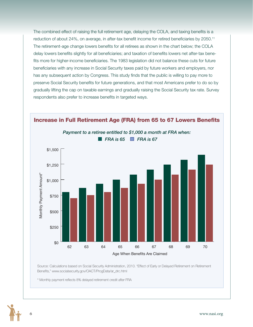The combined effect of raising the full retirement age, delaying the COLA, and taxing benefits is a reduction of about 24%, on average, in after-tax benefit income for retired beneficiaries by 2050.<sup>11</sup> The retirement-age change lowers benefits for all retirees as shown in the chart below; the COLA delay lowers benefits slightly for all beneficiaries; and taxation of benefits lowers net after-tax benefits more for higher-income beneficiaries. The 1983 legislation did not balance these cuts for future beneficiaries with any increase in Social Security taxes paid by future workers and employers, nor has any subsequent action by Congress. This study finds that the public is willing to pay more to preserve Social Security benefits for future generations, and that most Americans prefer to do so by gradually lifting the cap on taxable earnings and gradually raising the Social Security tax rate. Survey respondents also prefer to increase benefits in targeted ways.



Source: Calculations based on Social Security Administration, 2010. "Effect of Early or Delayed Retirement on Retirement Benefits," www.socialsecurity.gov/OACT/ProgData/ar\_drc.html

\* Monthly payment reflects 8% delayed retirement credit after FRA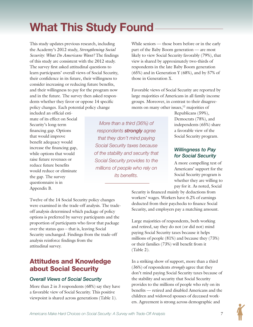# **What This Study Found**

*More than a third (36%) of respondents strongly agree that they don't mind paying Social Security taxes because of the stability and security that Social Security provides to the millions of people who rely on*

This study updates previous research, including the Academy's 2012 study, *Strengthening Social Security: What Do Americans Want?* The findings of this study are consistent with the 2012 study. The survey first asked attitudinal questions to learn participants' overall views of Social Security, their confidence in its future, their willingness to consider increasing or reducing future benefits, and their willingness to pay for the program now and in the future. The survey then asked respondents whether they favor or oppose 14 specific policy changes. Each potential policy change

included an official estimate of its effect on Social Security's long-term financing gap. Options that would improve benefit adequacy would increase the financing gap, while options that would raise future revenues or reduce future benefits would reduce or eliminate the gap. The survey questionnaire is in Appendix B.

Twelve of the 14 Social Security policy changes were examined in the trade-off analysis. The tradeoff analysis determined which package of policy options is preferred by survey participants and the proportion of participants who favor that package over the status quo – that is, leaving Social Security unchanged. Findings from the trade-off analysis reinforce findings from the attitudinal survey. *its benefits.* 

# Attitudes and Knowledge about Social Security

#### *Overall Views of Social Security*

More than 2 in 3 respondents (68%) say they have a favorable view of Social Security. This positive viewpoint is shared across generations (Table 1).

While seniors — those born before or in the early part of the Baby Boom generation — are most likely to view Social Security favorably (79%), that view is shared by approximately two-thirds of respondents in the late Baby Boom generation (65%) and in Generation Y (68%), and by 57% of those in Generation X.

Favorable views of Social Security are reported by large majorities of Americans in all family income groups. Moreover, in contrast to their disagreements on many other issues,<sup>12</sup> majorities of

> Republicans (59%), Democrats (78%), and independents (65%) share a favorable view of the Social Security program.

#### *Willingness to Pay for Social Security*

A more compelling test of Americans' support for the Social Security program is whether they are willing to pay for it. As noted, Social

Security is financed mainly by deductions from workers' wages. Workers have 6.2% of earnings deducted from their paychecks to finance Social Security, and employers pay a matching amount.

Large majorities of respondents, both working and retired, say they do not (or did not) mind paying Social Security taxes because it helps millions of people (81%) and because they (73%) or their families (73%) will benefit from it (Table 2).

In a striking show of support, more than a third (36%) of respondents *strongly* agree that they don't mind paying Social Security taxes because of the stability and security that Social Security provides to the millions of people who rely on its benefits — retired and disabled Americans and the children and widowed spouses of deceased workers. Agreement is strong across demographic and

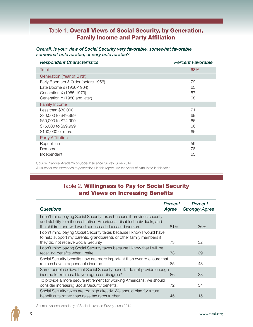# Table 1. Overall Views of Social Security, by Generation, Family Income and Party Affiliation

*Overall, is your view of Social Security very favorable, somewhat favorable, somewhat unfavorable, or very unfavorable?*

| <b>Respondent Characteristics</b>   | <b>Percent Favorable</b> |
|-------------------------------------|--------------------------|
| Total                               | 68%                      |
| Generation (Year of Birth)          |                          |
| Early Boomers & Older (before 1956) | 79                       |
| Late Boomers (1956-1964)            | 65                       |
| Generation X (1965-1979)            | 57                       |
| Generation Y (1980 and later)       | 68                       |
| <b>Family Income</b>                |                          |
| Less than \$30,000                  | 71                       |
| \$30,000 to \$49,999                | 69                       |
| \$50,000 to \$74,999                | 66                       |
| \$75,000 to \$99,999                | 66                       |
| \$100,000 or more                   | 65                       |
| <b>Party Affiliation</b>            |                          |
| Republican                          | 59                       |
| Democrat                            | 78                       |
| Independent                         | 65                       |

Source: National Academy of Social Insurance Survey, June 2014

All subsequent references to generations in this report use the years of birth listed in this table.

# Table 2. Willingness to Pay for Social Security and Views on Increasing Benefits

| <b>Questions</b>                                                                                                                                                                                             | Percent<br>Agree | Percent<br><b>Strongly Agree</b> |
|--------------------------------------------------------------------------------------------------------------------------------------------------------------------------------------------------------------|------------------|----------------------------------|
| I don't mind paying Social Security taxes because it provides security<br>and stability to millions of retired Americans, disabled individuals, and<br>the children and widowed spouses of deceased workers. | 81%              | 36%                              |
| I don't mind paying Social Security taxes because I know I would have<br>to help support my parents, grandparents or other family members if<br>they did not receive Social Security.                        | 73               | 32                               |
| I don't mind paying Social Security taxes because I know that I will be<br>receiving benefits when I retire.                                                                                                 | 73               | 39                               |
| Social Security benefits now are more important than ever to ensure that<br>retirees have a dependable income.                                                                                               | 85               | 48                               |
| Some people believe that Social Security benefits do not provide enough<br>income for retirees. Do you agree or disagree?                                                                                    | 86               | 38                               |
| To provide a more secure retirement for working Americans, we should<br>consider increasing Social Security benefits.                                                                                        | 72               | 34                               |
| Social Security taxes are too high already. We should plan for future<br>benefit cuts rather than raise tax rates further.                                                                                   | 45               | 15                               |
|                                                                                                                                                                                                              |                  |                                  |



Source: National Academy of Social Insurance Survey, June 2014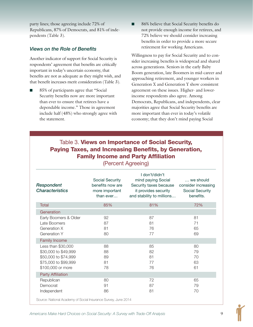party lines; those agreeing include 72% of Republicans, 87% of Democrats, and 81% of independents (Table 3).

#### *Views on the Role of Benefits*

Another indicator of support for Social Security is respondents' agreement that benefits are critically important in today's uncertain economy, that benefits are not as adequate as they might wish, and that benefit increases merit consideration (Table 3).

85% of participants agree that "Social Security benefits now are more important than ever to ensure that retirees have a dependable income." Those in agreement include half (48%) who strongly agree with the statement.

86% believe that Social Security benefits do not provide enough income for retirees, and 72% believe we should consider increasing benefits in order to provide a more secure retirement for working Americans.

Willingness to pay for Social Security and to consider increasing benefits is widespread and shared across generations. Seniors in the early Baby Boom generation, late Boomers in mid-career and approaching retirement, and younger workers in Generation X and Generation Y show consistent agreement on these issues. Higher- and lowerincome respondents also agree. Among Democrats, Republicans, and independents, clear majorities agree that Social Security benefits are more important than ever in today's volatile economy; that they don't mind paying Social

# Table 3. Views on Importance of Social Security, Paying Taxes, and Increasing Benefits, by Generation, Family Income and Party Affiliation

| Respondent<br><b>Characteristics</b>                                                                            | Social Security<br>benefits now are<br>more important<br>than ever | I don't/didn't<br>mind paying Social<br>Security taxes because consider increasing<br>it provides security<br>and stability to millions | we should<br><b>Social Security</b><br>benefits. |
|-----------------------------------------------------------------------------------------------------------------|--------------------------------------------------------------------|-----------------------------------------------------------------------------------------------------------------------------------------|--------------------------------------------------|
| <b>Total</b>                                                                                                    | 85%                                                                | 81%                                                                                                                                     | 72%                                              |
| Generation                                                                                                      |                                                                    |                                                                                                                                         |                                                  |
| Early Boomers & Older<br>Late Boomers<br>Generation X<br>Generation Y                                           | 92<br>87<br>81<br>80                                               | 87<br>81<br>76<br>77                                                                                                                    | 81<br>71<br>65<br>69                             |
| <b>Family Income</b>                                                                                            |                                                                    |                                                                                                                                         |                                                  |
| Less than \$30,000<br>\$30,000 to \$49,999<br>\$50,000 to \$74,999<br>\$75,000 to \$99,999<br>\$100,000 or more | 88<br>88<br>89<br>81<br>78                                         | 85<br>82<br>81<br>77<br>76                                                                                                              | 80<br>79<br>70<br>63<br>61                       |
| <b>Party Affiliation</b>                                                                                        |                                                                    |                                                                                                                                         |                                                  |
| Republican<br>Democrat<br>Independent                                                                           | 80<br>91<br>86                                                     | 72<br>87<br>81                                                                                                                          | 65<br>79<br>70                                   |

(Percent Agreeing)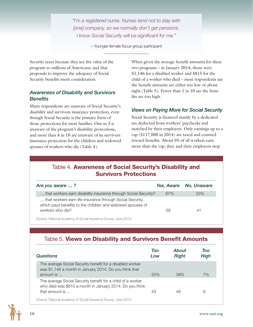*"I'm a registered nurse. Nurses tend not to stay with [one] company, so we normally don't get pensions. I know Social Security will be significant for me."*

– Younger female focus group participant

Security taxes because they see the value of the program to millions of Americans; and that proposals to improve the adequacy of Social Security benefits merit consideration.

#### *Awareness of Disability and Survivors Benefits*

Many respondents are unaware of Social Security's disability and survivors insurance protection, even though Social Security is the primary form of those protections for most families. One in 3 is unaware of the program's disability protections, and more than 4 in 10 are unaware of its survivors insurance protection for the children and widowed spouses of workers who die (Table 4).

When given the average benefit amounts for these two programs – in January 2014, those were \$1,146 for a disabled worker and \$815 for the child of a worker who died – most respondents say the benefit amounts are either too low or about right (Table 5). Fewer than 1 in 10 say the benefits are too high.

#### *Views on Paying More for Social Security*

Social Security is financed mainly by a dedicated tax deducted from workers' paychecks and matched by their employers. Only earnings up to a cap (\$117,000 in 2014) are taxed and counted toward benefits. About 6% of all workers earn more than the cap; they and their employers stop

# Table 4. Awareness of Social Security's Disability and Survivors Protections

| Are you aware ?                                                                                                                             |     | Yes, Aware No, Unaware |
|---------------------------------------------------------------------------------------------------------------------------------------------|-----|------------------------|
| that workers earn disability insurance through Social Security?                                                                             | 67% | 33%                    |
| that workers earn life insurance through Social Security,<br>which pays benefits to the children and widowed spouses of<br>workers who die? | 59  | 4 <sup>1</sup>         |
| Source: National Academy of Social Insurance Survey, June 2014                                                                              |     |                        |

### Table 5. Views on Disability and Survivors Benefit Amounts

| <b>Questions</b>                                                                                                                          | Too<br>Low | <b>About</b><br><b>Right</b> | Too<br>High |
|-------------------------------------------------------------------------------------------------------------------------------------------|------------|------------------------------|-------------|
| The average Social Security benefit for a disabled worker<br>was \$1,146 a month in January 2014. Do you think that<br>amount is          | 55%        | 38%                          | 7%          |
| The average Social Security benefit for a child of a worker<br>who died was \$815 a month in January 2014. Do you think<br>that amount is | 43         | 48                           | 8           |
| Source: National Academy of Social Insurance Survey, June 2014                                                                            |            |                              |             |

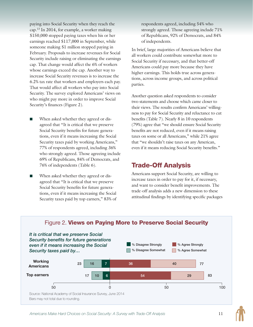paying into Social Security when they reach the cap.<sup>13</sup> In 2014, for example, a worker making \$150,000 stopped paying taxes when his or her earnings reached \$117,000 in September, while someone making \$1 million stopped paying in February. Proposals to increase revenues for Social Security include raising or eliminating the earnings cap. That change would affect the 6% of workers whose earnings exceed the cap. Another way to increase Social Security revenues is to increase the 6.2% tax rate that workers and employers each pay. That would affect all workers who pay into Social Security. The survey explored Americans' views on who might pay more in order to improve Social Security's finances (Figure 2).

- When asked whether they agreed or disagreed that "It is critical that we preserve Social Security benefits for future generations, even if it means increasing the Social Security taxes paid by working Americans," 77% of respondents agreed, including 36% who strongly agreed. Those agreeing include 69% of Republicans, 84% of Democrats, and 76% of independents (Table 6).
- When asked whether they agreed or disagreed that "It is critical that we preserve Social Security benefits for future generations, even if it means increasing the Social Security taxes paid by top earners," 83% of

respondents agreed, including 54% who strongly agreed. Those agreeing include 71% of Republicans, 92% of Democrats, and 84% of independents.

In brief, large majorities of Americans believe that all workers could contribute somewhat more to Social Security if necessary, and that better-off Americans could pay more because they have higher earnings. This holds true across generations, across income groups, and across political parties.

Another question asked respondents to consider two statements and choose which came closer to their views. The results confirm Americans' willingness to pay for Social Security and reluctance to cut benefits (Table 7). Nearly 8 in 10 respondents (79%) agree that "we should ensure Social Security benefits are not reduced, even if it means raising taxes on some or all Americans," while 21% agree that "we shouldn't raise taxes on any American, even if it means reducing Social Security benefits."

# Trade-Off Analysis

Americans support Social Security, are willing to increase taxes in order to pay for it, if necessary, and want to consider benefit improvements. The trade-off analysis adds a new dimension to these attitudinal findings by identifying specific packages

#### Figure 2. Views on Paying More to Preserve Social Security

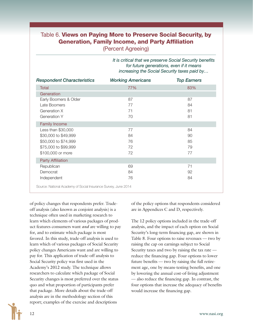# Table 6. Views on Paying More to Preserve Social Security, by Generation, Family Income, and Party Affiliation

(Percent Agreeing)

| It is critical that we preserve Social Security benefits |  |
|----------------------------------------------------------|--|
| for future generations, even if it means                 |  |
| increasing the Social Security taxes paid by             |  |

| <b>Respondent Characteristics</b>                              | <b>Working Americans</b> | <b>Top Earners</b> |  |
|----------------------------------------------------------------|--------------------------|--------------------|--|
| Total                                                          | 77%                      | 83%                |  |
| Generation                                                     |                          |                    |  |
| Early Boomers & Older                                          | 87                       | 87                 |  |
| Late Boomers                                                   | 77                       | 84                 |  |
| Generation X                                                   | 71                       | 81                 |  |
| Generation Y                                                   | 70                       | 81                 |  |
| <b>Family Income</b>                                           |                          |                    |  |
| Less than \$30,000                                             | 77                       | 84                 |  |
| \$30,000 to \$49,999                                           | 84                       | 90                 |  |
| \$50,000 to \$74,999                                           | 76                       | 85                 |  |
| \$75,000 to \$99,999                                           | 72                       | 79                 |  |
| \$100,000 or more                                              | 72                       | 77                 |  |
| <b>Party Affiliation</b>                                       |                          |                    |  |
| Republican                                                     | 69                       | 71                 |  |
| Democrat                                                       | 84                       | 92                 |  |
| Independent                                                    | 76                       | 84                 |  |
| Source: National Academy of Social Insurance Survey, June 2014 |                          |                    |  |

of policy changes that respondents prefer. Tradeoff analysis (also known as conjoint analysis) is a technique often used in marketing research to learn which elements of various packages of product features consumers want *and* are willing to pay for, and to estimate which package is most favored. In this study, trade-off analysis is used to learn which of various packages of Social Security policy changes Americans want and are willing to pay for. This application of trade-off analysis to Social Security policy was first used in the Academy's 2012 study. The technique allows researchers to calculate which package of Social Security changes is most preferred over the status quo and what proportion of participants prefer that package. More details about the trade-off analysis are in the methodology section of this report; examples of the exercise and descriptions

of the policy options that respondents considered are in Appendices C and D, respectively.

The 12 policy options included in the trade-off analysis, and the impact of each option on Social Security's long-term financing gap, are shown in Table 8. Four options to raise revenues — two by raising the cap on earnings subject to Social Security taxes and two by raising the tax rate reduce the financing gap. Four options to lower future benefits — two by raising the full retirement age, one by means-testing benefits, and one by lowering the annual cost-of-living adjustment — also reduce the financing gap. In contrast, the four options that increase the adequacy of benefits would increase the financing gap.

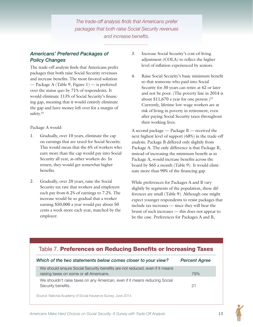*The trade-off analysis finds that Americans prefer packages that both raise Social Security revenues and increase benefits.*

#### *Americans' Preferred Packages of Policy Changes*

The trade-off analysis finds that Americans prefer packages that both raise Social Security revenues and increase benefits. The most favored solution — Package A (Table 9, Figure 1) — is preferred over the status quo by 71% of respondents. It would eliminate 113% of Social Security's financing gap, meaning that it would entirely eliminate the gap and have money left over for a margin of safety.<sup>14</sup>

Package A would:

- 1. Gradually, over 10 years, eliminate the cap on earnings that are taxed for Social Security. This would mean that the 6% of workers who earn more than the cap would pay into Social Security all year, as other workers do. In return, they would get somewhat higher benefits.
- 2. Gradually, over 20 years, raise the Social Security tax rate that workers and employers each pay from 6.2% of earnings to 7.2%. The increase would be so gradual that a worker earning \$50,000 a year would pay about 50 cents a week more each year, matched by the employer.
- 3. Increase Social Security's cost-of-living adjustment (COLA) to reflect the higher level of inflation experienced by seniors.
- 4. Raise Social Security's basic minimum benefit so that someone who paid into Social Security for 30 years can retire at 62 or later and not be poor. (The poverty line in 2014 is about  $$11,670$  a year for one person.)<sup>15</sup> Currently, lifetime low-wage workers are at risk of living in poverty in retirement, even after paying Social Security taxes throughout their working lives.

A second package — Package B — received the next highest level of support (68%) in the trade-off analysis. Package B differed only slightly from Package A. The only difference is that Package B, instead of increasing the minimum benefit as in Package A, would increase benefits across the board by \$65 a month (Table 9). It would eliminate more than 90% of the financing gap.

While preferences for Packages A and B vary slightly by segments of the population, these differences are small (Table 9). Although one might expect younger respondents to resist packages that include tax increases — since they will bear the brunt of such increases — this does not appear to be the case. Preferences for Packages A and B,

### Table 7. Preferences on Reducing Benefits or Increasing Taxes

| Which of the two statements below comes closer to your view?                                                           | <b>Percent Agree</b> |
|------------------------------------------------------------------------------------------------------------------------|----------------------|
| We should ensure Social Security benefits are not reduced, even if it means<br>raising taxes on some or all Americans. | 79%                  |
| We shouldn't raise taxes on any American, even if it means reducing Social<br>Security benefits.                       |                      |

Source: National Academy of Social Insurance Survey, June 2014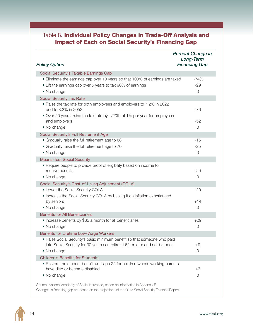# Table 8. Individual Policy Changes in Trade-Off Analysis and Impact of Each on Social Security's Financing Gap

| <b>Policy Option</b>                                                                                                                                                                   | <b>Percent Change in</b><br>Long-Term<br><b>Financing Gap</b> |
|----------------------------------------------------------------------------------------------------------------------------------------------------------------------------------------|---------------------------------------------------------------|
| Social Security's Taxable Earnings Cap                                                                                                                                                 |                                                               |
| • Eliminate the earnings cap over 10 years so that 100% of earnings are taxed                                                                                                          | $-74%$                                                        |
| • Lift the earnings cap over 5 years to tax 90% of earnings                                                                                                                            | $-29$                                                         |
| • No change                                                                                                                                                                            | 0                                                             |
| <b>Social Security Tax Rate</b>                                                                                                                                                        |                                                               |
| • Raise the tax rate for both employees and employers to 7.2% in 2022<br>and to 8.2% in 2052                                                                                           | $-76$                                                         |
| • Over 20 years, raise the tax rate by 1/20th of 1% per year for employees<br>and employers                                                                                            | $-52$                                                         |
| • No change                                                                                                                                                                            | 0                                                             |
| Social Security's Full Retirement Age                                                                                                                                                  |                                                               |
| • Gradually raise the full retirement age to 68                                                                                                                                        | $-16$                                                         |
| • Gradually raise the full retirement age to 70                                                                                                                                        | $-25$                                                         |
| • No change                                                                                                                                                                            | $\overline{0}$                                                |
| <b>Means-Test Social Security</b>                                                                                                                                                      |                                                               |
| • Require people to provide proof of eligibility based on income to                                                                                                                    |                                                               |
| receive benefits                                                                                                                                                                       | $-20$                                                         |
| • No change                                                                                                                                                                            | 0                                                             |
| Social Security's Cost-of-Living Adjustment (COLA)                                                                                                                                     |                                                               |
| • Lower the Social Security COLA                                                                                                                                                       | $-20$                                                         |
| • Increase the Social Security COLA by basing it on inflation experienced                                                                                                              |                                                               |
| by seniors                                                                                                                                                                             | $+14$                                                         |
| • No change                                                                                                                                                                            | 0                                                             |
| <b>Benefits for All Beneficiaries</b>                                                                                                                                                  |                                                               |
| • Increase benefits by \$65 a month for all beneficiaries                                                                                                                              | $+29$                                                         |
| • No change                                                                                                                                                                            | $\overline{0}$                                                |
| Benefits for Lifetime Low-Wage Workers                                                                                                                                                 |                                                               |
| • Raise Social Security's basic minimum benefit so that someone who paid                                                                                                               |                                                               |
| into Social Security for 30 years can retire at 62 or later and not be poor                                                                                                            | $+9$                                                          |
| • No change                                                                                                                                                                            | $\overline{0}$                                                |
| <b>Children's Benefits for Students</b>                                                                                                                                                |                                                               |
| • Restore the student benefit until age 22 for children whose working parents                                                                                                          |                                                               |
| have died or become disabled                                                                                                                                                           | $+3$                                                          |
| • No change                                                                                                                                                                            | $\overline{0}$                                                |
| Source: National Academy of Social Insurance, based on information in Appendix E<br>Changes in financing gap are based on the projections of the 2013 Social Security Trustees Report. |                                                               |

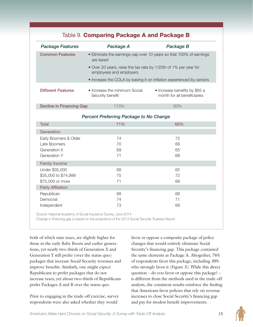# Table 9. Comparing Package A and Package B

| <b>Package Features</b>         | Package A                                                                                   | Package B                                                    |  |
|---------------------------------|---------------------------------------------------------------------------------------------|--------------------------------------------------------------|--|
| <b>Common Features</b>          | • Eliminate the earnings cap over 10 years so that 100% of earnings<br>are taxed            |                                                              |  |
|                                 | • Over 20 years, raise the tax rate by 1/20th of 1% per year for<br>employees and employers |                                                              |  |
|                                 | • Increase the COLA by basing it on inflation experienced by seniors                        |                                                              |  |
| <b>Different Features</b>       | • Increase the minimum Social<br>Security benefit                                           | • Increase benefits by \$65 a<br>month for all beneficiaries |  |
| <b>Decline in Financing Gap</b> | 113%                                                                                        | 93%                                                          |  |

#### *Percent Preferring Package to No Change*

| Total                                                                 | 71%                  | 68%                  |
|-----------------------------------------------------------------------|----------------------|----------------------|
| Generation                                                            |                      |                      |
| Early Boomers & Older<br>Late Boomers<br>Generation X<br>Generation Y | 74<br>70<br>69<br>71 | 72<br>68<br>65<br>68 |
| <b>Family Income</b>                                                  |                      |                      |
| Under \$35,000<br>\$35,000 to \$74,999<br>\$75,000 or more            | 68<br>75<br>71       | 65<br>72<br>68       |
| <b>Party Affiliation</b>                                              |                      |                      |
| Republican<br>Democrat<br>Independent                                 | 68<br>74<br>73       | 66<br>71<br>69       |

Source: National Academy of Social Insurance Survey, June 2014

Change in financing gap is based on the projections of the 2013 Social Security Trustees Report.

both of which raise taxes, are slightly higher for those in the early Baby Boom and earlier generations, yet nearly two-thirds of Generation X and Generation Y still prefer (over the status quo) packages that increase Social Security revenues and improve benefits. Similarly, one might expect Republicans to prefer packages that do not increase taxes, yet about two-thirds of Republicans prefer Packages A and B over the status quo.

Prior to engaging in the trade-off exercise, survey respondents were also asked whether they would

favor or oppose a composite package of policy changes that would entirely eliminate Social Security's financing gap. This package contained the same elements as Package A. Altogether, 76% of respondents favor this package, including 30% who strongly favor it (Figure 3). While this direct question – do you favor or oppose this package? – is different from the methods used in the trade-off analysis, the consistent results reinforce the finding that Americans favor policies that rely on revenue increases to close Social Security's financing gap and pay for modest benefit improvements.

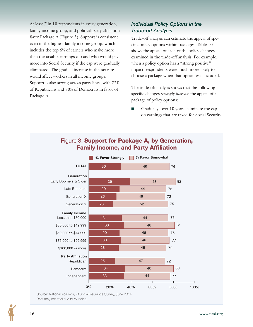At least 7 in 10 respondents in every generation, family income group, and political party affiliation favor Package A (Figure 3). Support is consistent even in the highest family income group, which includes the top 6% of earners who make more than the taxable earnings cap and who would pay more into Social Security if the cap were gradually eliminated. The gradual increase in the tax rate would affect workers in all income groups. Support is also strong across party lines, with 72% of Republicans and 80% of Democrats in favor of Package A.

### *Individual Policy Options in the Trade-off Analysis*

Trade-off analysis can estimate the appeal of specific policy options within packages. Table 10 shows the appeal of each of the policy changes examined in the trade-off analysis. For example, when a policy option has a "strong positive" impact, respondents were much more likely to choose a package when that option was included.

The trade-off analysis shows that the following specific changes *strongly increase* the appeal of a package of policy options:

Gradually, over 10 years, eliminate the cap on earnings that are taxed for Social Security.



Bars may not total due to rounding.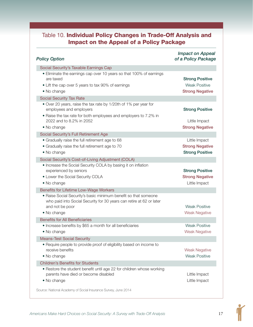# Table 10. Individual Policy Changes in Trade-Off Analysis and Impact on the Appeal of a Policy Package

| <b>Policy Option</b>                                                                                                                                                                                       | <b>Impact on Appeal</b><br>of a Policy Package                           |
|------------------------------------------------------------------------------------------------------------------------------------------------------------------------------------------------------------|--------------------------------------------------------------------------|
| Social Security's Taxable Earnings Cap                                                                                                                                                                     |                                                                          |
| • Eliminate the earnings cap over 10 years so that 100% of earnings<br>are taxed<br>• Lift the cap over 5 years to tax 90% of earnings<br>• No change                                                      | <b>Strong Positive</b><br><b>Weak Positive</b><br><b>Strong Negative</b> |
| <b>Social Security Tax Rate</b>                                                                                                                                                                            |                                                                          |
| • Over 20 years, raise the tax rate by 1/20th of 1% per year for<br>employees and employers<br>• Raise the tax rate for both employees and employers to 7.2% in<br>2022 and to 8.2% in 2052<br>• No change | <b>Strong Positive</b><br>Little Impact<br><b>Strong Negative</b>        |
| Social Security's Full Retirement Age                                                                                                                                                                      |                                                                          |
| • Gradually raise the full retirement age to 68<br>• Gradually raise the full retirement age to 70<br>• No change                                                                                          | Little Impact<br><b>Strong Negative</b><br><b>Strong Positive</b>        |
| Social Security's Cost-of-Living Adjustment (COLA)                                                                                                                                                         |                                                                          |
| • Increase the Social Security COLA by basing it on inflation<br>experienced by seniors<br>• Lower the Social Security COLA<br>• No change                                                                 | <b>Strong Positive</b><br><b>Strong Negative</b><br>Little Impact        |
| Benefits for Lifetime Low-Wage Workers                                                                                                                                                                     |                                                                          |
| • Raise Social Security's basic minimum benefit so that someone<br>who paid into Social Security for 30 years can retire at 62 or later<br>and not be poor<br>• No change                                  | <b>Weak Positive</b><br><b>Weak Negative</b>                             |
| <b>Benefits for All Beneficiaries</b>                                                                                                                                                                      |                                                                          |
| • Increase benefits by \$65 a month for all beneficiaries<br>• No change                                                                                                                                   | <b>Weak Positive</b><br><b>Weak Negative</b>                             |
| <b>Means-Test Social Security</b><br>• Require people to provide proof of eligibility based on income to<br>receive benefits                                                                               | <b>Weak Negative</b>                                                     |
| • No change                                                                                                                                                                                                | <b>Weak Positive</b>                                                     |
| <b>Children's Benefits for Students</b><br>• Restore the student benefit until age 22 for children whose working<br>parents have died or become disabled<br>· No change                                    | Little Impact<br>Little Impact                                           |
| Source: National Academy of Social Insurance Survey, June 2014                                                                                                                                             |                                                                          |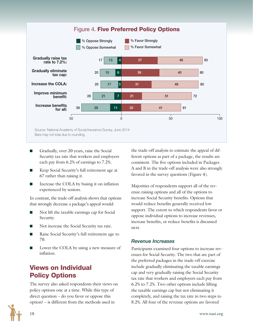

- Gradually, over 20 years, raise the Social Security tax rate that workers and employers each pay from 6.2% of earnings to 7.2%.
- Keep Social Security's full retirement age at 67 rather than raising it.
- Increase the COLA by basing it on inflation experienced by seniors.

In contrast, the trade-off analysis shows that options that strongly decrease a package's appeal would:

- Not lift the taxable earnings cap for Social Security.
- Not increase the Social Security tax rate.
- Raise Social Security's full retirement age to 70.
- Lower the COLA by using a new measure of inflation.

# Views on Individual Policy Options

The survey also asked respondents their views on policy options one at a time. While this type of direct question – do you favor or oppose this option? – is different from the methods used in

the trade-off analysis to estimate the appeal of different options as part of a package, the results are consistent. The five options included in Packages A and B in the trade-off analysis were also strongly favored in the survey questions (Figure 4).

Majorities of respondents support all of the revenue-raising options and all of the options to increase Social Security benefits. Options that would reduce benefits generally received low support. The extent to which respondents favor or oppose individual options to increase revenues, increase benefits, or reduce benefits is discussed next.

#### *Revenue Increases*

Participants examined four options to increase revenues for Social Security. The two that are part of the preferred packages in the trade-off exercise include gradually eliminating the taxable earnings cap and very gradually raising the Social Security tax rate that workers and employers each pay from 6.2% to 7.2%. Two other options include lifting the taxable earnings cap but not eliminating it completely, and raising the tax rate in two steps to 8.2%. All four of the revenue options are favored

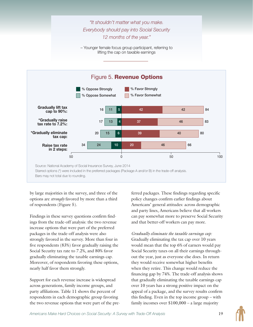*"It shouldn't matter what you make. Everybody should pay into Social Security 12 months of the year."*

– Younger female focus group participant, referring to lifting the cap on taxable earnings



by large majorities in the survey, and three of the options are *strongly* favored by more than a third of respondents (Figure 5).

Findings in these survey questions confirm findings from the trade-off analysis: the two revenue increase options that were part of the preferred packages in the trade-off analysis were also strongly favored in the survey. More than four in five respondents (83%) favor gradually raising the Social Security tax rate to 7.2%, and 80% favor gradually eliminating the taxable earnings cap. Moreover, of respondents favoring these options, nearly half favor them strongly.

Support for each revenue increase is widespread across generations, family income groups, and party affiliations. Table 11 shows the percent of respondents in each demographic group favoring the two revenue options that were part of the pre-

ferred packages. These findings regarding specific policy changes confirm earlier findings about Americans' general attitudes: across demographic and party lines, Americans believe that all workers can pay somewhat more to preserve Social Security and that better-off workers can pay more.

*Gradually eliminate the taxable earnings cap:* Gradually eliminating the tax cap over 10 years would mean that the top 6% of earners would pay Social Security taxes on all their earnings throughout the year, just as everyone else does. In return they would receive somewhat higher benefits when they retire. This change would reduce the financing gap by 74%. The trade-off analysis shows that gradually eliminating the taxable earnings cap over 10 years has a strong positive impact on the appeal of a package, and the survey results confirm this finding. Even in the top income group – with family incomes over \$100,000 – a large majority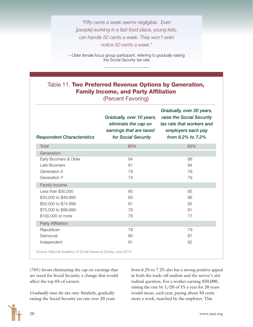*"Fifty cents a week seems negligible. Even [people] working in a fast food place, young kids, can handle 50 cents a week. They won't even notice 50 cents a week."*

– Older female focus group participant, referring to gradually raising the Social Security tax rate

#### Table 11. Two Preferred Revenue Options by Generation, Family Income, and Party Affiliation

(Percent Favoring)

| <b>Respondent Characteristics</b> | Gradually, over 10 years,<br>eliminate the cap on<br>earnings that are taxed<br>for Social Security | Gradually, over 20 years,<br>raise the Social Security<br>tax rate that workers and<br>employers each pay<br>from 6.2% to 7.2% |
|-----------------------------------|-----------------------------------------------------------------------------------------------------|--------------------------------------------------------------------------------------------------------------------------------|
| <b>Total</b>                      | 80%                                                                                                 | 83%                                                                                                                            |
| Generation                        |                                                                                                     |                                                                                                                                |
| Early Boomers & Older             | 84                                                                                                  | 88                                                                                                                             |
| Late Boomers                      | 81                                                                                                  | 84                                                                                                                             |
| Generation X                      | 79                                                                                                  | 79                                                                                                                             |
| <b>Generation Y</b>               | 74                                                                                                  | 79                                                                                                                             |
| <b>Family Income</b>              |                                                                                                     |                                                                                                                                |
| Less than \$30,000                | 80                                                                                                  | 85                                                                                                                             |
| \$30,000 to \$49,999              | 83                                                                                                  | 86                                                                                                                             |
| \$50,000 to \$74,999              | 81                                                                                                  | 82                                                                                                                             |
| \$75,000 to \$99,999              | 79                                                                                                  | 81                                                                                                                             |
| \$100,000 or more                 | 76                                                                                                  | 77                                                                                                                             |
| <b>Party Affiliation</b>          |                                                                                                     |                                                                                                                                |
| Republican                        | 79                                                                                                  | 79                                                                                                                             |
| Democrat                          | 80                                                                                                  | 87                                                                                                                             |
| Independent                       | 81                                                                                                  | 82                                                                                                                             |

(76%) favors eliminating the cap on earnings that are taxed for Social Security, a change that would affect the top 6% of earners.

*Gradually raise the tax rate:* Similarly, gradually raising the Social Security tax rate over 20 years from 6.2% to 7.2% also has a strong positive appeal in both the trade-off analysis and the survey's attitudinal question. For a worker earning \$50,000, raising the rate by 1/20 of 1% a year for 20 years would mean, each year, paying about 50 cents more a week, matched by the employer. This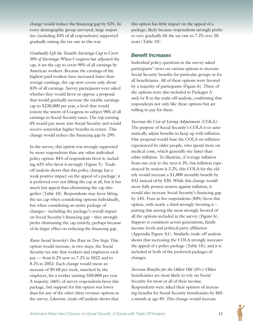change would reduce the financing gap by 52%. In every demographic group surveyed, large majorities (including 83% of all respondents) supported gradually raising the tax rate in this way.

*Gradually Lift the Taxable Earnings Cap to Cover 90% of Earnings:* When Congress last adjusted the cap, it set the cap to cover 90% of all earnings by American workers. Because the earnings of the highest-paid workers have increased faster than average earnings, the cap now covers only about 83% of all earnings. Survey participants were asked whether they would favor or oppose a proposal that would gradually increase the taxable earnings cap to \$230,000 per year, a level that would restore the intent of Congress to subject 90% of all earnings to Social Security taxes. The top-earning 6% would pay more into Social Security and would receive somewhat higher benefits in return. This change would reduce the financing gap by 29%.

In the survey, this option was strongly supported by more respondents than any other individual policy option: 84% of respondents favor it, including 42% who favor it strongly (Figure 5). Tradeoff analysis shows that this policy change has a weak positive impact on the appeal of a package: it is preferred over not lifting the cap at all, but it has much less appeal than eliminating the cap altogether (Table 10). Respondents may favor lifting the tax cap when considering options individually, but when considering an entire package of changes – including the package's overall impact on Social Security's financing gap – they strongly prefer eliminating the cap entirely, perhaps because of its larger effect on reducing the financing gap.

*Raise Social Security's Tax Rate in Two Steps:* This option would increase, in two steps, the Social Security tax rate that workers and employers each pay — from 6.2% now to 7.2% in 2022 and to 8.2% in 2052. Each change would mean an increase of \$9.60 per week, matched by the employer, for a worker earning \$50,000 per year. A majority (66%) of survey respondents favor this package, but support for this option was lower than for any of the other three revenue options in the survey. Likewise, trade-off analysis shows that

this option has little impact on the appeal of a package, likely because respondents strongly prefer to very gradually lift the tax rate to 7.2% over 20 years (Table 10)

#### *Benefit Increases*

Individual policy questions in the survey asked participants' views on various options to increase Social Security benefits for particular groups or for all beneficiaries. All of these options were favored by a majority of participants (Figure 6). Three of the options were also included in Packages A and/or B in the trade-off analysis, confirming that respondents not only like these options but are willing to pay for them.

*Increase the Cost-of-Living Adjustment (COLA):* The purpose of Social Security's COLA is to automatically adjust benefits to keep up with inflation. One proposal would base the COLA on inflation experienced by older people, who spend more on medical costs, which generally rise faster than other inflation. To illustrate, if average inflation from one year to the next is 3%, but inflation experienced by seniors is 3.2%, this COLA for the elderly would increase a \$1,000 monthly benefit by \$32 instead of by \$30. While this change would more fully protect seniors against inflation, it would also increase Social Security's financing gap by 14%. Four in five respondents (80%) favor this option, with nearly a third strongly favoring it – putting this among the most strongly favored of all the options included in the survey (Figure 6). Support is consistent across generations, family income levels and political party affiliation (Appendix Figure A1). Similarly, trade-off analysis shows that increasing the COLA strongly increases the appeal of a policy package (Table 10), and it is included in both of the preferred packages of changes.

*Increase Benefits for the Oldest Old (85+):* Older beneficiaries are most likely to rely on Social Security for most or all of their income. Respondents were asked their opinion of increasing benefits for Social Security beneficiaries by \$65 a month at age 85. This change would increase

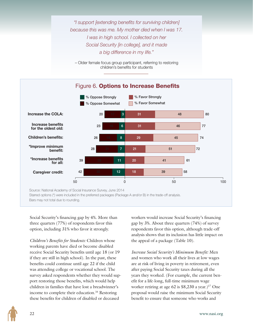*"I support [extending benefits for surviving children] because this was me. My mother died when I was 17. I was in high school. I collected on her Social Security [in college], and it made a big difference in my life."*

– Older female focus group participant, referring to restoring children's benefits for students



Source: National Academy of Social Insurance Survey, June 2014

Starred options (\*) were included in the preferred packages (Package A and/or B) in the trade-off analysis. Bars may not total due to rounding.

Social Security's financing gap by 4%. More than three quarters (77%) of respondents favor this option, including 31% who favor it strongly.

*Children's Benefits for Students:* Children whose working parents have died or become disabled receive Social Security benefits until age 18 (or 19 if they are still in high school). In the past, these benefits could continue until age 22 if the child was attending college or vocational school. The survey asked respondents whether they would support restoring those benefits, which would help children in families that have lost a breadwinner's income to complete their education.<sup>16</sup> Restoring these benefits for children of disabled or deceased

workers would increase Social Security's financing gap by 3%. About three quarters (74%) of survey respondents favor this option, although trade-off analysis shows that its inclusion has little impact on the appeal of a package (Table 10).

*Increase Social Security's Minimum Benefit:* Men and women who work all their lives at low wages are at risk of living in poverty in retirement, even after paying Social Security taxes during all the years they worked. (For example, the current benefit for a life-long, full-time minimum wage worker retiring at age 62 is  $$8,230$  a year.)<sup>17</sup> One proposal would raise the minimum Social Security benefit to ensure that someone who works and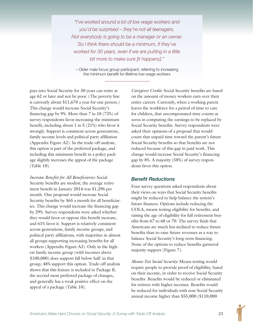*"I've worked around a lot of low wage workers and you'd be surprised – they're not all teenagers. Not everybody is going to be a manager or an owner. So I think there should be a minimum, if they've worked for 30 years, even if we are putting in a little bit more to make sure [it happens]."*

– Older male focus group participant, referring to increasing the minimum benefit for lifetime low-wage workers

pays into Social Security for 30 years can retire at age 62 or later and not be poor. (The poverty line is currently about \$11,670 a year for one person.) This change would increase Social Security's financing gap by 9%. More than 7 in 10 (72%) of survey respondents favor increasing the minimum benefit, including about 1 in 5 (21%) who favor it strongly. Support is consistent across generations, family income levels and political party affiliation (Appendix Figure A2). In the trade-off analysis, this option is part of the preferred package, and including this minimum benefit in a policy package slightly increases the appeal of the package (Table 10).

*Increase Benefits for All Beneficiaries:* Social Security benefits are modest; the average retirement benefit in January 2014 was \$1,296 per month. One proposal would increase Social Security benefits by \$65 a month for all beneficiaries. This change would increase the financing gap by 29%. Survey respondents were asked whether they would favor or oppose this benefit increase, and 61% favor it. Support is relatively consistent across generations, family income groups, and political party affiliations, with majorities in almost all groups supporting increasing benefits for all workers (Appendix Figure A3). Only in the highest family income group (with incomes above \$100,000) does support fall below half: in that group, 48% support this option. Trade-off analysis shows that this feature is included in Package B, the second most preferred package of changes, and generally has a weak positive effect on the appeal of a package (Table 10).

*Caregiver Credit:* Social Security benefits are based on the amount of money workers earn over their entire careers. Currently, when a working parent leaves the workforce for a period of time to care for children, that uncompensated time counts as zeros in computing the earnings to be replaced by Social Security benefits. Survey respondents were asked their opinions of a proposal that would count that unpaid time toward the parent's future Social Security benefits so that benefits are not reduced because of this gap in paid work. This change would increase Social Security's financing gap by 8%. A majority (58%) of survey respondents favor this option.

#### *Benefit Reductions*

Four survey questions asked respondents about their views on ways that Social Security benefits might be reduced to help balance the system's future finances. Options include reducing the COLA, means-testing eligibility for benefits, and raising the age of eligibility for full retirement benefits from 67 to 68 or 70. The survey finds that Americans are much less inclined to reduce future benefits than to raise future revenues as a way to balance Social Security's long-term financing. None of the options to reduce benefits garnered majority support (Figure 7).

*Means-Test Social Security:* Means-testing would require people to provide proof of eligibility, based on their income, in order to receive Social Security benefits. Benefits would be reduced or eliminated for retirees with higher incomes. Benefits would be reduced for individuals with non-Social Security annual income higher than \$55,000 (\$110,000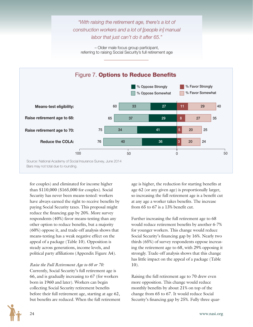*"With raising the retirement age, there's a lot of construction workers and a lot of [people in] manual labor that just can't do it after 65."*

– Older male focus group participant, referring to raising Social Security's full retirement age



for couples) and eliminated for income higher than \$110,000 (\$165,000 for couples). Social Security has never been means-tested: workers have always earned the right to receive benefits by paying Social Security taxes. This proposal might reduce the financing gap by 20%. More survey respondents (40%) favor means-testing than any other option to reduce benefits, but a majority (60%) oppose it, and trade-off analysis shows that means-testing has a weak negative effect on the appeal of a package (Table 10). Opposition is steady across generations, income levels, and political party affiliations (Appendix Figure A4).

#### *Raise the Full Retirement Age to 68 or 70:*

Currently, Social Security's full retirement age is 66, and is gradually increasing to 67 (for workers born in 1960 and later). Workers can begin collecting Social Security retirement benefits before their full retirement age, starting at age 62, but benefits are reduced. When the full retirement

age is higher, the reduction for starting benefits at age 62 (or any given age) is proportionally larger, so increasing the full retirement age is a benefit cut at any age a worker takes benefits. The increase from 65 to 67 is a 13% benefit cut.

Further increasing the full retirement age to 68 would reduce retirement benefits by another 6-7% for younger workers. This change would reduce Social Security's financing gap by 16%. Nearly two thirds (65%) of survey respondents oppose increasing the retirement age to 68, with 29% opposing it strongly. Trade-off analysis shows that this change has little impact on the appeal of a package (Table 10).

Raising the full retirement age to 70 drew even more opposition. This change would reduce monthly benefits by about 21% on top of the change from 65 to 67. It would reduce Social Security's financing gap by 25%. Fully three quar-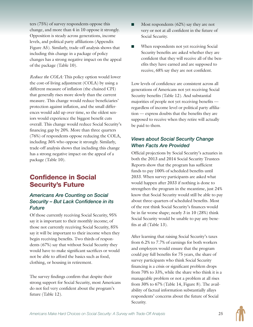ters (75%) of survey respondents oppose this change, and more than 4 in 10 oppose it strongly. Opposition is steady across generations, income levels, and political party affiliations (Appendix Figure A5). Similarly, trade-off analysis shows that including this change in a package of policy changes has a strong negative impact on the appeal of the package (Table 10).

*Reduce the COLA:* This policy option would lower the cost-of-living adjustment (COLA) by using a different measure of inflation (the chained CPI) that generally rises more slowly than the current measure. This change would reduce beneficiaries' protection against inflation, and the small differences would add up over time, so the oldest seniors would experience the biggest benefit cuts overall. This change would reduce Social Security's financing gap by 20%. More than three quarters (76%) of respondents oppose reducing the COLA, including 36% who oppose it strongly. Similarly, trade-off analysis shows that including this change has a strong negative impact on the appeal of a package (Table 10).

# Confidence in Social Security's Future

#### *Americans Are Counting on Social Security – But Lack Confidence in its Future*

Of those currently receiving Social Security, 95% say it is important to their monthly income; of those not currently receiving Social Security, 85% say it will be important to their income when they begin receiving benefits. Two thirds of respondents (67%) say that without Social Security they would have to make significant sacrifices or would not be able to afford the basics such as food, clothing, or housing in retirement.

The survey findings confirm that despite their strong support for Social Security, most Americans do not feel very confident about the program's future (Table 12).

- Most respondents (62%) say they are not very or not at all confident in the future of Social Security.
- When respondents not yet receiving Social Security benefits are asked whether they are confident that they will receive all of the benefits they have earned and are supposed to receive, 68% say they are not confident.

Low levels of confidence are consistent across all generations of Americans not yet receiving Social Security benefits (Table 12). And substantial majorities of people not yet receiving benefits regardless of income level or political party affiliation — express doubts that the benefits they are supposed to receive when they retire will actually be paid to them.

#### *Views about Social Security Change When Facts Are Provided*

Official projections by Social Security's actuaries in both the 2013 and 2014 Social Security Trustees Reports show that the program has sufficient funds to pay 100% of scheduled benefits until 2033. When survey participants are asked what would happen after 2033 if nothing is done to strengthen the program in the meantime, just 24% know that Social Security would still be able to pay about three-quarters of scheduled benefits. Most of the rest think Social Security's finances would be in far worse shape; nearly 3 in 10 (28%) think Social Security would be unable to pay any benefits at all (Table 13).

After learning that raising Social Security's taxes from 6.2% to 7.7% of earnings for both workers and employers would ensure that the program could pay full benefits for 75 years, the share of survey participants who think Social Security financing is a crisis or significant problem drops from 70% to 33%, while the share who think it is a manageable problem or not a problem at all rises from 30% to 67% (Table 14, Figure 8). The availability of factual information substantially allays respondents' concerns about the future of Social Security.

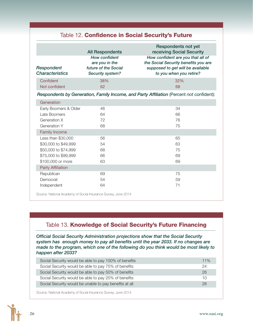|                                                                                          | <b>All Respondents</b>                                                             | <b>Respondents not yet</b><br>receiving Social Security                                                                                   |  |  |
|------------------------------------------------------------------------------------------|------------------------------------------------------------------------------------|-------------------------------------------------------------------------------------------------------------------------------------------|--|--|
| Respondent<br><b>Characteristics</b>                                                     | <b>How confident</b><br>are you in the<br>future of the Social<br>Security system? | How confident are you that all of<br>the Social Security benefits you are<br>supposed to get will be available<br>to you when you retire? |  |  |
| Confident                                                                                | 38%                                                                                | 32%                                                                                                                                       |  |  |
| Not confident                                                                            | 62                                                                                 | 68                                                                                                                                        |  |  |
| Respondents by Generation, Family Income, and Party Affiliation (Percent not confident): |                                                                                    |                                                                                                                                           |  |  |
| Generation                                                                               |                                                                                    |                                                                                                                                           |  |  |
| Early Boomers & Older                                                                    | 46                                                                                 | 34                                                                                                                                        |  |  |
| Late Boomers                                                                             | 64                                                                                 | 66                                                                                                                                        |  |  |
| Generation X                                                                             | 72                                                                                 | 76                                                                                                                                        |  |  |
| <b>Generation Y</b>                                                                      | 68                                                                                 | 75                                                                                                                                        |  |  |
| <b>Family Income</b>                                                                     |                                                                                    |                                                                                                                                           |  |  |
| Less than \$30,000                                                                       | 56                                                                                 | 65                                                                                                                                        |  |  |
| \$30,000 to \$49,999                                                                     | 54                                                                                 | 63                                                                                                                                        |  |  |
| \$50,000 to \$74,999                                                                     | 68                                                                                 | 75                                                                                                                                        |  |  |
| \$75,000 to \$99,999                                                                     | 66                                                                                 | 69                                                                                                                                        |  |  |
| \$100,000 or more                                                                        | 63                                                                                 | 69                                                                                                                                        |  |  |
| <b>Party Affiliation</b>                                                                 |                                                                                    |                                                                                                                                           |  |  |
| Republican                                                                               | 69                                                                                 | 75                                                                                                                                        |  |  |
| Democrat                                                                                 | 54                                                                                 | 59                                                                                                                                        |  |  |
| Independent                                                                              | 64                                                                                 | 71                                                                                                                                        |  |  |

# Table 13. Knowledge of Social Security's Future Financing

*Official Social Security Administration projections show that the Social Security system has enough money to pay all benefits until the year 2033. If no changes are made to the program, which one of the following do you think would be most likely to happen after 2033?*

| Social Security would be able to pay 100% of benefits          | 11% |
|----------------------------------------------------------------|-----|
| Social Security would be able to pay 75% of benefits           | 24  |
| Social Security would be able to pay 50% of benefits           | 26  |
| Social Security would be able to pay 25% of benefits           | 10  |
| Social Security would be unable to pay benefits at all         | 28  |
| Source: National Academy of Social Insurance Survey, June 2014 |     |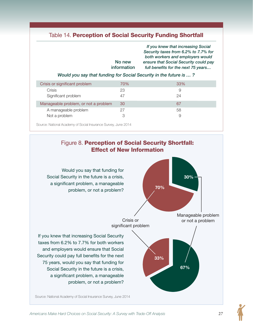# Table 14. Perception of Social Security Funding Shortfall

| If you knew that increasing Social<br>Security taxes from 6.2% to 7.7% for<br>both workers and employers would<br>No new<br>ensure that Social Security could pay<br>information<br>full benefits for the next 75 years<br>Would you say that funding for Social Security in the future is ? |     |     |  |  |
|----------------------------------------------------------------------------------------------------------------------------------------------------------------------------------------------------------------------------------------------------------------------------------------------|-----|-----|--|--|
| Crisis or significant problem                                                                                                                                                                                                                                                                | 70% | 33% |  |  |
| <b>Crisis</b>                                                                                                                                                                                                                                                                                | 23  | 9   |  |  |
| Significant problem                                                                                                                                                                                                                                                                          | 47  | 24  |  |  |
| Manageable problem, or not a problem                                                                                                                                                                                                                                                         | 30  | 67  |  |  |

Source: National Academy of Social Insurance Survey, June 2014

### Figure 8. Perception of Social Security Shortfall: Effect of New Information

A manageable problem 27 58 Not a problem 3 9

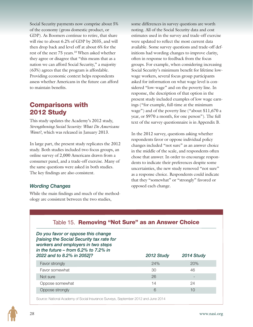Social Security payments now comprise about 5% of the economy (gross domestic product, or GDP). As Boomers continue to retire, that share will rise to about 6.2% of GDP by 2035, and will then drop back and level off at about 6% for the rest of the next 75 years.<sup>18</sup> When asked whether they agree or disagree that "this means that as a nation we can afford Social Security," a majority (63%) agrees that the program is affordable. Providing economic context helps respondents assess whether Americans in the future can afford to maintain benefits.

# Comparisons with 2012 Study

This study updates the Academy's 2012 study, *Strengthening Social Security: What Do Americans Want?*, which was released in January 2013.

In large part, the present study replicates the 2012 study. Both studies included two focus groups, an online survey of 2,000 Americans drawn from a consumer panel, and a trade-off exercise. Many of the same questions were asked in both studies. The key findings are also consistent.

#### *Wording Changes*

While the main findings and much of the methodology are consistent between the two studies,

some differences in survey questions are worth noting. All of the Social Security data and cost estimates used in the survey and trade-off exercise were updated to reflect the most current data available. Some survey questions and trade-off definitions had wording changes to improve clarity, often in response to feedback from the focus groups. For example, when considering increasing Social Security's minimum benefit for lifetime lowwage workers, several focus group participants asked for information on what wage level is considered "low-wage" and on the poverty line. In response, the description of that option in the present study included examples of low wage earnings ("for example, full-time at the minimum wage") and of the poverty line ("about \$11,670 a year, or \$970 a month, for one person"). The full text of the survey questionnaire is in Appendix B.

In the 2012 survey, questions asking whether respondents favor or oppose individual policy changes included "not sure" as an answer choice in the middle of the scale, and respondents often chose that answer. In order to encourage respondents to indicate their preferences despite some uncertainties, the new study removed "not sure" as a response choice. Respondents could indicate that they "somewhat" or "strongly" favored or opposed each change.

### Table 15. Removing "Not Sure" as an Answer Choice

*Do you favor or oppose this change [raising the Social Security tax rate for workers and employers in two steps in the future – from 6.2% to 7.2% in 2022 and to 8.2% in 2052]? 2012 Study 2014 Study*

| Favor strongly  | 24% | 20%                      |
|-----------------|-----|--------------------------|
| Favor somewhat  | 30  | 46                       |
| Not sure        | 26  | -                        |
| Oppose somewhat | 14  | 24                       |
| Oppose strongly | 6   | $\mathbf{1}(\mathbf{1})$ |
|                 |     |                          |

Source: National Academy of Social Insurance Surveys, September 2012 and June 2014

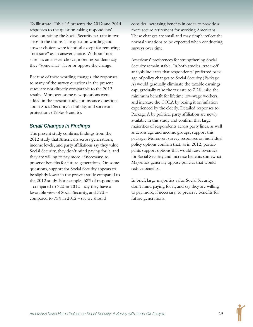To illustrate, Table 15 presents the 2012 and 2014 responses to the question asking respondents' views on raising the Social Security tax rate in two steps in the future. The question wording and answer choices were identical except for removing "not sure" as an answer choice. Without "not sure" as an answer choice, more respondents say they "somewhat" favor or oppose the change.

Because of these wording changes, the responses to many of the survey questions in the present study are not directly comparable to the 2012 results. Moreover, some new questions were added in the present study, for instance questions about Social Security's disability and survivors protections (Tables 4 and 5).

#### *Small Changes in Findings*

The present study confirms findings from the 2012 study that Americans across generations, income levels, and party affiliations say they value Social Security, they don't mind paying for it, and they are willing to pay more, if necessary, to preserve benefits for future generations. On some questions, support for Social Security appears to be slightly lower in the present study compared to the 2012 study. For example, 68% of respondents – compared to 72% in 2012 – say they have a favorable view of Social Security, and 72% – compared to 75% in 2012 – say we should

consider increasing benefits in order to provide a more secure retirement for working Americans. These changes are small and may simply reflect the normal variations to be expected when conducting surveys over time.

Americans' preferences for strengthening Social Security remain stable. In both studies, trade-off analysis indicates that respondents' preferred package of policy changes to Social Security (Package A) would gradually eliminate the taxable earnings cap, gradually raise the tax rate to 7.2%, raise the minimum benefit for lifetime low-wage workers, and increase the COLA by basing it on inflation experienced by the elderly. Detailed responses to Package A by political party affiliation are newly available in this study and confirm that large majorities of respondents across party lines, as well as across age and income groups, support this package. Moreover, survey responses on individual policy options confirm that, as in 2012, participants support options that would raise revenues for Social Security and increase benefits somewhat. Majorities generally oppose policies that would reduce benefits.

In brief, large majorities value Social Security, don't mind paying for it, and say they are willing to pay more, if necessary, to preserve benefits for future generations.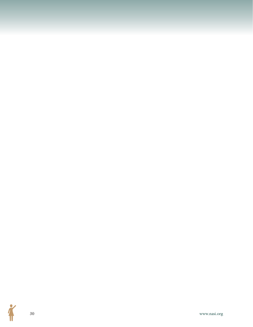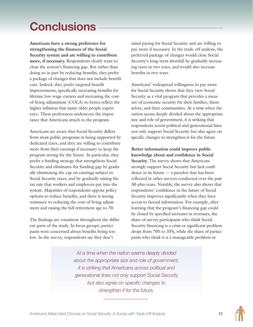# **Conclusions**

**Americans have a strong preference for strengthening the finances of the Social Security system and are willing to contribute more, if necessary.** Respondents clearly want to close the system's financing gap. But rather than doing so in part by reducing benefits, they prefer a package of changes that does not include benefit cuts. Indeed, they prefer targeted benefit improvements, specifically increasing benefits for lifetime low-wage earners and increasing the costof-living adjustment (COLA) to better reflect the higher inflation that many older people experience. These preferences underscore the importance that Americans attach to the program.

Americans are aware that Social Security differs from most public programs in being supported by dedicated taxes, and they are willing to contribute more from their earnings if necessary to keep the program strong for the future. In particular, they prefer a funding strategy that strengthens Social Security and eliminates the funding gap by gradually eliminating the cap on earnings subject to Social Security taxes, and by gradually raising the tax rate that workers and employers pay into the system. Majorities of respondents oppose policy options to reduce benefits, and there is strong resistance to reducing the cost-of-living adjustment and raising the full retirement age to 70.

The findings are consistent throughout the different parts of the study. In focus groups, participants were concerned about benefits being too low. In the survey, respondents say they don't

mind paying for Social Security and are willing to pay more if necessary. In the trade-off analysis, the preferred package of changes would close Social Security's long-term shortfall by gradually increasing taxes in two ways, and would also increase benefits in two ways.

Americans' widespread willingness to pay more for Social Security shows that they view Social Security as a vital program that provides a measure of economic security for their families, themselves, and their communities. At a time when the nation seems deeply divided about the appropriate size and role of government, it is striking that respondents across political and generational lines not only support Social Security but also agree on specific changes to strengthen it for the future.

**Better information could improve public knowledge about and confidence in Social Security.** The survey shows that Americans strongly support Social Security but lack confidence in its future — a paradox that has been reflected in other surveys conducted over the past 30-plus years. Notably, the survey also shows that respondents' confidence in the future of Social Security improves significantly when they have access to factual information. For example, after learning that the program's financing gap could be closed by specified increases in revenues, the share of survey participants who think Social Security financing is a crisis or significant problem drops from 70% to 33%, while the share of participants who think it is a manageable problem or

*At a time when the nation seems deeply divided about the appropriate size and role of government, it is striking that Americans across political and generational lines not only support Social Security but also agree on specific changes to strengthen it for the future.*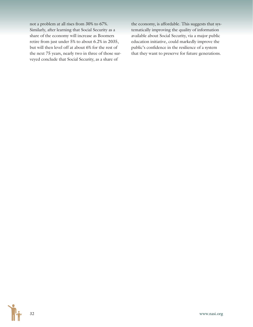not a problem at all rises from 30% to 67%. Similarly, after learning that Social Security as a share of the economy will increase as Boomers retire from just under 5% to about 6.2% in 2035, but will then level off at about 6% for the rest of the next 75 years, nearly two in three of those surveyed conclude that Social Security, as a share of

the economy, is affordable. This suggests that systematically improving the quality of information available about Social Security, via a major public education initiative, could markedly improve the public's confidence in the resilience of a system that they want to preserve for future generations.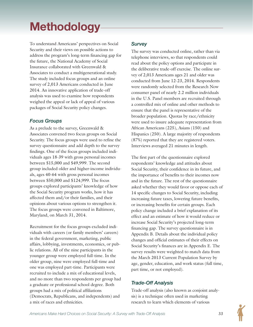# **Methodology**

To understand Americans' perspectives on Social Security and their views on possible actions to address the program's long-term financing gap for the future, the National Academy of Social Insurance collaborated with Greenwald & Associates to conduct a multigenerational study. The study included focus groups and an online survey of 2,013 Americans conducted in June 2014. An innovative application of trade-off analysis was used to examine how respondents weighed the appeal or lack of appeal of various packages of Social Security policy changes.

#### *Focus Groups*

As a prelude to the survey, Greenwald & Associates convened two focus groups on Social Security. The focus groups were used to refine the survey questionnaire and add depth to the survey findings. One of the focus groups included individuals ages 18-39 with gross personal incomes between \$15,000 and \$49,999. The second group included older and higher-income individuals, ages 40-64 with gross personal incomes between \$50,000 and \$124,999. The focus groups explored participants' knowledge of how the Social Security program works, how it has affected them and/or their families, and their opinions about various options to strengthen it. The focus groups were convened in Baltimore, Maryland, on March 31, 2014.

Recruitment for the focus groups excluded individuals with careers (or family members' careers) in the federal government, marketing, public affairs, lobbying, investments, economics, or public relations. All of the nine participants in the younger group were employed full-time. In the older group, nine were employed full-time and one was employed part-time. Participants were recruited to include a mix of educational levels, and no more than two respondents per group had a graduate or professional school degree. Both groups had a mix of political affiliations (Democrats, Republicans, and independents) and a mix of races and ethnicities.

#### *Survey*

The survey was conducted online, rather than via telephone interviews, so that respondents could read about the policy options and participate in the deliberative trade-off exercise. The online survey of 2,013 Americans ages 21 and older was conducted from June 12-23, 2014. Respondents were randomly selected from the Research Now consumer panel of nearly 2.2 million individuals in the U.S. Panel members are recruited through a controlled mix of online and other methods to ensure that the panel is representative of the broader population. Quotas by race/ethnicity were used to insure adequate representation from African Americans (225), Asians (150) and Hispanics (250). A large majority of respondents (87%) reported that they are registered voters. Interviews averaged 21 minutes in length.

The first part of the questionnaire explored respondents' knowledge and attitudes about Social Security, their confidence in its future, and the importance of benefits to their incomes now and in the future. The rest of the questionnaire asked whether they would favor or oppose each of 14 specific changes to Social Security, including increasing future taxes, lowering future benefits, or increasing benefits for certain groups. Each policy change included a brief explanation of its effect and an estimate of how it would reduce or increase Social Security's projected long-term financing gap. The survey questionnaire is in Appendix B. Details about the individual policy changes and official estimates of their effects on Social Security's finances are in Appendix E. The survey results were weighted to match data from the March 2013 Current Population Survey by age, gender, education, and work status (full time, part time, or not employed).

#### *Trade-Off Analysis*

Trade-off analysis (also known as conjoint analysis) is a technique often used in marketing research to learn which elements of various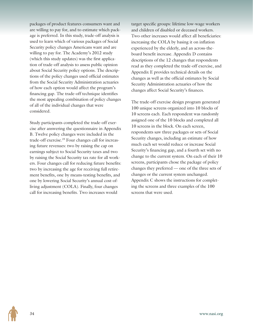packages of product features consumers want and are willing to pay for, and to estimate which package is preferred. In this study, trade-off analysis is used to learn which of various packages of Social Security policy changes Americans want and are willing to pay for. The Academy's 2012 study (which this study updates) was the first application of trade-off analysis to assess public opinion about Social Security policy options. The descriptions of the policy changes used official estimates from the Social Security Administration actuaries of how each option would affect the program's financing gap. The trade-off technique identifies the most appealing combination of policy changes of all of the individual changes that were considered.

Study participants completed the trade-off exercise after answering the questionnaire in Appendix B. Twelve policy changes were included in the trade-off exercise.<sup>19</sup> Four changes call for increasing future revenues: two by raising the cap on earnings subject to Social Security taxes and two by raising the Social Security tax rate for all workers. Four changes call for reducing future benefits: two by increasing the age for receiving full retirement benefits, one by means-testing benefits, and one by lowering Social Security's annual cost-ofliving adjustment (COLA). Finally, four changes call for increasing benefits. Two increases would

target specific groups: lifetime low-wage workers and children of disabled or deceased workers. Two other increases would affect all beneficiaries: increasing the COLA by basing it on inflation experienced by the elderly, and an across-theboard benefit increase. Appendix D contains descriptions of the 12 changes that respondents read as they completed the trade-off exercise, and Appendix E provides technical details on the changes as well as the official estimates by Social Security Administration actuaries of how the changes affect Social Security's finances.

The trade-off exercise design program generated 100 unique screens organized into 10 blocks of 10 screens each. Each respondent was randomly assigned one of the 10 blocks and completed all 10 screens in the block. On each screen, respondents saw three packages or sets of Social Security changes, including an estimate of how much each set would reduce or increase Social Security's financing gap, and a fourth set with no change to the current system. On each of their 10 screens, participants chose the package of policy changes they preferred — one of the three sets of changes or the current system unchanged. Appendix C shows the instructions for completing the screens and three examples of the 100 screens that were used.

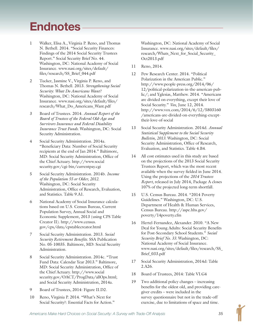# **Endnotes**

- 1 Walker, Elisa A., Virginia P. Reno, and Thomas N. Bethell. 2014. "Social Security Finances: Findings of the 2014 Social Security Trustees Report." Social Security Brief No. 44. Washington, DC: National Academy of Social Insurance. www.nasi.org/sites/default/ files/research/SS\_Brief\_044.pdf
- 2 Tucker, Jasmine V., Virginia P. Reno, and Thomas N. Bethell. 2013. *Strengthening Social Security: What Do Americans Want?* Washington, DC: National Academy of Social Insurance. www.nasi.org/sites/default/files/ research/What\_Do\_Americans\_Want.pdf
- 3 Board of Trustees. 2014. *Annual Report of the Board of Trustees of the Federal Old-Age and Survivors Insurance and Federal Disability Insurance Trust Funds.* Washington, DC: Social Security Administration.
- 4 Social Security Administration. 2014a. "Beneficiary Data: Number of Social Security recipients at the end of Jan 2014." Baltimore, MD: Social Security Administration, Office of the Chief Actuary. http://www.social security.gov/cgi-bin/currentpay.cgi
- 5 Social Security Administration. 2014b. *Income of the Population 55 or Older, 2012*. Washington, DC: Social Security Administration, Office of Research, Evaluation, and Statistics. Table 9.A1.
- 6 National Academy of Social Insurance calculations based on U.S. Census Bureau, Current Population Survey, Annual Social and Economic Supplement, 2013 (using CPS Table Creator II). http://www.census. gov/cps/data/cpstablecreator.html
- 7 Social Security Administration. 2013. *Social Security Retirement Benefits*. SSA Publication No. 05-10035. Baltimore, MD: Social Security Administration.
- 8 Social Security Administration. 2014c. "Trust Fund Data: Calendar Year 2013." Baltimore, MD: Social Security Administration, Office of the Chief Actuary. http://www.social security.gov/OACT/ProgData/allOps.html; and Social Security Administration, 2014a.
- 9 Board of Trustees, 2014: Figure II.D2.
- 10 Reno, Virginia P. 2014. "What's Next for Social Security?: Essential Facts for Action."

Washington, DC: National Academy of Social Insurance. www.nasi.org/sites/default/files/ research/Whats\_Next\_for\_Social\_Security\_ Oct2013.pdf

- 11 Reno, 2014.
- 12 Pew Research Center. 2014. "Political Polarization in the American Public." http://www.people-press.org/2014/06/ 12/political-polarization-in-the-american-public/; and Yglesias, Matthew. 2014. "Americans are divided on everything, except their love of Social Security." *Vox*, June 12, 2014. http://www.vox.com/2014/6/12/5803160 /americans-are-divided-on-everything-excepttheir-love-of-social
- 13 Social Security Administration. 2014d. *Annual Statistical Supplement to the Social Security Bulletin, 2013*. Washington, DC: Social Security Administration, Office of Research, Evaluation, and Statistics. Table 4.B4.
- 14 All cost estimates used in this study are based on the projections of the 2013 Social Security Trustees Report, which was the most recent available when the survey fielded in June 2014. Using the projections of the *2014 Trustees Report*, released in July 2014, Package A closes 107% of the projected long-term shortfall.
- 15 U.S. Census Bureau. 2014. "2014 Poverty Guidelines." Washington, DC: U.S. Department of Health & Human Services, Census Bureau. http://aspe.hhs.gov/ poverty/14poverty.cfm
- 16 Hertel-Fernandez, Alexander. 2010. "A New Deal for Young Adults: Social Security Benefits for Post-Secondary School Students." *Social Security Brief No. 33.* Washington, DC: National Academy of Social Insurance. www.nasi.org/sites/default/files/research/SS\_ Brief\_033.pdf
- 17 Social Security Administration, 2014d: Table 2.A26.
- 18 Board of Trustees, 2014: Table VI.G4
- 19 Two additional policy changes increasing benefits for the oldest old, and providing caregiver credits – were included in the survey questionnaire but not in the trade-off exercise, due to limitations of space and time.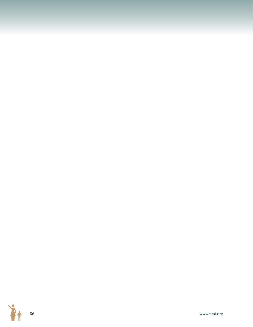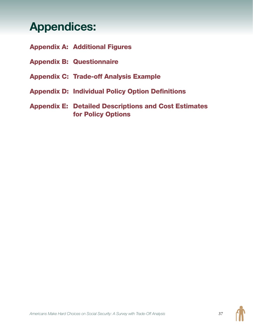# **Appendices:**

- Appendix A: Additional Figures
- Appendix B: Questionnaire
- Appendix C: Trade-off Analysis Example
- Appendix D: Individual Policy Option Definitions
- Appendix E: Detailed Descriptions and Cost Estimates for Policy Options

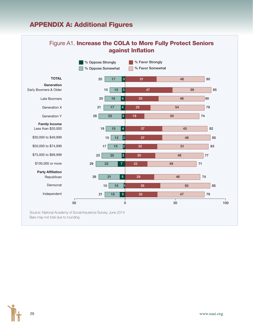# APPENDIX A: Additional Figures





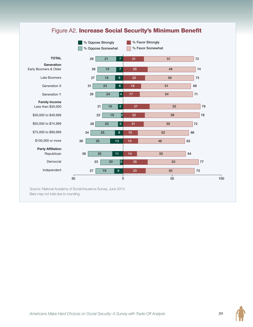### Figure A2. Increase Social Security's Minimum Benefit



Source: National Academy of Social Insurance Survey, June 2014 Bars may not total due to rounding.

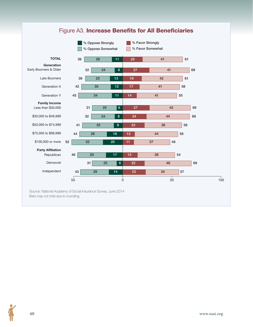

## Figure A3. Increase Benefits for All Beneficiaries

Source: National Academy of Social Insurance Survey, June 2014 Bars may not total due to rounding.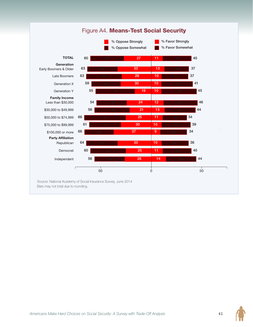

## Figure A4. Means-Test Social Security

Source: National Academy of Social Insurance Survey, June 2014 Bars may not total due to rounding.

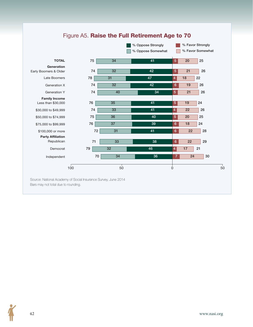

## Figure A5. Raise the Full Retirement Age to 70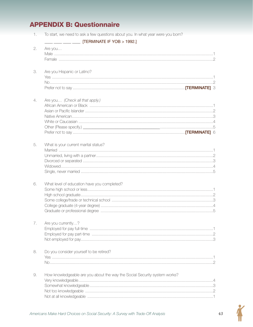# **APPENDIX B: Questionnaire**

 $1.$ 

|    | [TERMINATE IF YOB > 1992.]<br>$\frac{1}{1-\frac{1}{1-\frac{1}{1-\frac{1}{1-\frac{1}{1-\frac{1}{1-\frac{1}{1-\frac{1}{1-\frac{1}{1-\frac{1}{1-\frac{1}{1-\frac{1}{1-\frac{1}{1-\frac{1}{1-\frac{1}{1-\frac{1}{1-\frac{1}{1-\frac{1}{1-\frac{1}{1-\frac{1}{1-\frac{1}{1-\frac{1}{1-\frac{1}{1-\frac{1}{1-\frac{1}{1-\frac{1}{1-\frac{1}{1-\frac{1}{1-\frac{1}{1-\frac{1}{1-\frac{1}{1-\frac{1}{1-\frac{1}{1-\frac{1}{1-\frac{1}{1-\frac{1}{1-\frac{1$ |  |
|----|-----------------------------------------------------------------------------------------------------------------------------------------------------------------------------------------------------------------------------------------------------------------------------------------------------------------------------------------------------------------------------------------------------------------------------------------------------|--|
| 2. | Are you                                                                                                                                                                                                                                                                                                                                                                                                                                             |  |
|    |                                                                                                                                                                                                                                                                                                                                                                                                                                                     |  |
| 3. | Are you Hispanic or Latino?                                                                                                                                                                                                                                                                                                                                                                                                                         |  |
| 4. | Are you (Check all that apply.)                                                                                                                                                                                                                                                                                                                                                                                                                     |  |
| 5. | What is your current marital status?                                                                                                                                                                                                                                                                                                                                                                                                                |  |
| 6. | What level of education have you completed?                                                                                                                                                                                                                                                                                                                                                                                                         |  |
|    | Are you currently?                                                                                                                                                                                                                                                                                                                                                                                                                                  |  |
| 8. | Do you consider yourself to be retired?                                                                                                                                                                                                                                                                                                                                                                                                             |  |
| 9. | How knowledgeable are you about the way the Social Security system works?                                                                                                                                                                                                                                                                                                                                                                           |  |

To start, we need to ask a few questions about you. In what year were you born?

 $43$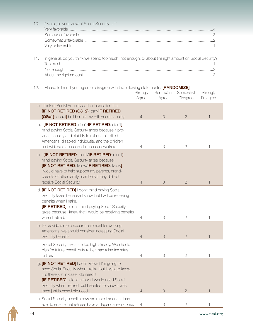| 10. | Overall, is your view of Social Security ?                                                            |                |          |                |          |
|-----|-------------------------------------------------------------------------------------------------------|----------------|----------|----------------|----------|
|     |                                                                                                       |                |          |                |          |
|     |                                                                                                       |                |          |                |          |
|     |                                                                                                       |                |          |                |          |
|     |                                                                                                       |                |          |                |          |
|     |                                                                                                       |                |          |                |          |
| 11. | In general, do you think we spend too much, not enough, or about the right amount on Social Security? |                |          |                |          |
|     |                                                                                                       |                |          |                |          |
|     |                                                                                                       |                |          |                |          |
|     |                                                                                                       |                |          |                |          |
|     |                                                                                                       |                |          |                |          |
| 12. | Please tell me if you agree or disagree with the following statements: [RANDOMIZE]                    |                |          |                |          |
|     |                                                                                                       | Strongly       | Somewhat | Somewhat       | Strongly |
|     |                                                                                                       | Agree          | Agree    | Disagree       | Disagree |
|     | a. I think of Social Security as the foundation that I                                                |                |          |                |          |
|     | [IF NOT RETIRED (Q8=2): can/IF RETIRED                                                                |                |          |                |          |
|     | (Q8=1): could] build on for my retirement security.                                                   | $\overline{4}$ | 3        | $\overline{2}$ | 1        |
|     | b. I [IF NOT RETIRED: don't/IF RETIRED: didn't]                                                       |                |          |                |          |
|     | mind paying Social Security taxes because it pro-                                                     |                |          |                |          |
|     | vides security and stability to millions of retired                                                   |                |          |                |          |
|     | Americans, disabled individuals, and the children                                                     |                |          |                |          |
|     | and widowed spouses of deceased workers.                                                              | 4              | 3        | $\mathbf{2}$   | 1        |
|     | c. I [IF NOT RETIRED: don't/IF RETIRED: didn't]                                                       |                |          |                |          |
|     | mind paying Social Security taxes because I                                                           |                |          |                |          |
|     | [IF NOT RETIRED: know/IF RETIRED: knew]                                                               |                |          |                |          |
|     | I would have to help support my parents, grand-                                                       |                |          |                |          |
|     | parents or other family members if they did not                                                       |                |          |                |          |
|     | receive Social Security.                                                                              | $\overline{4}$ | 3        | $\overline{2}$ | 1        |
|     |                                                                                                       |                |          |                |          |
|     | d. [IF NOT RETIRED] I don't mind paying Social                                                        |                |          |                |          |
|     | Security taxes because I know that I will be receiving<br>benefits when I retire.                     |                |          |                |          |
|     | <b>[IF RETIRED]</b> I didn't mind paying Social Security                                              |                |          |                |          |
|     | taxes because I knew that I would be receiving benefits                                               |                |          |                |          |
|     | when I retired.                                                                                       | 4              | 3        | $\mathbf{2}$   | 1        |
|     |                                                                                                       |                |          |                |          |
|     | e. To provide a more secure retirement for working                                                    |                |          |                |          |
|     | Americans, we should consider increasing Social                                                       |                |          |                |          |
|     | Security benefits.                                                                                    | $\overline{4}$ | 3        | $\mathbf{2}$   | 1        |
|     | f. Social Security taxes are too high already. We should                                              |                |          |                |          |
|     | plan for future benefit cuts rather than raise tax rates                                              |                |          |                |          |
|     | further.                                                                                              | 4              | 3        | 2              | 1        |
|     | g. <b>[IF NOT RETIRED]</b> I don't know if I'm going to                                               |                |          |                |          |
|     | need Social Security when I retire, but I want to know                                                |                |          |                |          |
|     | it is there just in case I do need it.                                                                |                |          |                |          |
|     | [IF RETIRED] I didn't know if I would need Social                                                     |                |          |                |          |
|     | Security when I retired, but I wanted to know it was                                                  |                |          |                |          |
|     | there just in case I did need it.                                                                     | $\overline{4}$ | 3        | $\mathbf{2}$   | 1        |
|     |                                                                                                       |                |          |                |          |
|     | h. Social Security benefits now are more important than                                               |                |          |                |          |
|     | ever to ensure that retirees have a dependable income.                                                | 4              | 3        | 2              |          |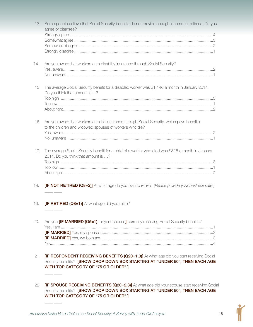| 13. | Some people believe that Social Security benefits do not provide enough income for retirees. Do you<br>agree or disagree?                                                                                              |
|-----|------------------------------------------------------------------------------------------------------------------------------------------------------------------------------------------------------------------------|
|     |                                                                                                                                                                                                                        |
| 14. | Are you aware that workers earn disability insurance through Social Security?                                                                                                                                          |
| 15. | The average Social Security benefit for a disabled worker was \$1,146 a month in January 2014.<br>Do you think that amount is ?                                                                                        |
| 16. | Are you aware that workers earn life insurance through Social Security, which pays benefits<br>to the children and widowed spouses of workers who die?                                                                 |
| 17. | The average Social Security benefit for a child of a worker who died was \$815 a month in January<br>2014. Do you think that amount is ?                                                                               |
| 18. | [IF NOT RETIRED (Q8=2)] At what age do you plan to retire? (Please provide your best estimate.)                                                                                                                        |
| 19. | [IF RETIRED (Q8=1)] At what age did you retire?                                                                                                                                                                        |
| 20. | Are you [IF MARRIED (Q5=1): or your spouse] currently receiving Social Security benefits?                                                                                                                              |
| 21. | <b>[IF RESPONDENT RECEIVING BENEFITS (Q20=1,3)]</b> At what age did you start receiving Social<br>Security benefits? [SHOW DROP DOWN BOX STARTING AT "UNDER 50", THEN EACH AGE<br>WITH TOP CATEGORY OF "75 OR OLDER".] |
| 22. | [IF SPOUSE RECEIVING BENEFITS (Q20=2,3)] At what age did your spouse start receiving Social<br>Security benefits? [SHOW DROP DOWN BOX STARTING AT "UNDER 50", THEN EACH AGE<br>WITH TOP CATEGORY OF "75 OR OLDER".]    |

 $\overline{\phantom{a}}$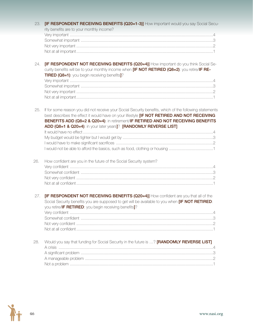| 23. | [IF RESPONDENT RECEIVING BENEFITS (Q20=1-3)] How important would you say Social Secu-                   |  |
|-----|---------------------------------------------------------------------------------------------------------|--|
|     | rity benefits are to your monthly income?                                                               |  |
|     |                                                                                                         |  |
|     |                                                                                                         |  |
|     |                                                                                                         |  |
|     |                                                                                                         |  |
|     |                                                                                                         |  |
|     |                                                                                                         |  |
| 24. | [IF RESPONDENT NOT RECEIVING BENEFITS (Q20=4)] How important do you think Social Se-                    |  |
|     | curity benefits will be to your monthly income when [IF NOT RETIRED (Q8=2): you retire/IF RE-           |  |
|     | TIRED (Q8=1): you begin receiving benefits]?                                                            |  |
|     |                                                                                                         |  |
|     |                                                                                                         |  |
|     |                                                                                                         |  |
|     |                                                                                                         |  |
|     |                                                                                                         |  |
| 25. | If for some reason you did not receive your Social Security benefits, which of the following statements |  |
|     | best describes the effect it would have on your lifestyle [IF NOT RETIRED AND NOT RECEIVING             |  |
|     | BENEFITS ADD (Q8=2 & Q20=4): in retirement/IF RETIRED AND NOT RECEIVING BENEFITS                        |  |
|     | ADD (Q8=1 & Q20=4): in your later years]? [RANDOMLY REVERSE LIST]                                       |  |
|     |                                                                                                         |  |
|     |                                                                                                         |  |
|     |                                                                                                         |  |
|     | I would not be able to afford the basics, such as food, clothing or housing 1                           |  |
|     |                                                                                                         |  |
| 26. | How confident are you in the future of the Social Security system?                                      |  |
|     |                                                                                                         |  |
|     |                                                                                                         |  |
|     |                                                                                                         |  |
|     |                                                                                                         |  |
|     |                                                                                                         |  |
|     |                                                                                                         |  |
| 27. | [IF RESPONDENT NOT RECEIVING BENEFITS (Q20=4)] How confident are you that all of the                    |  |
|     | Social Security benefits you are supposed to get will be available to you when <i>[IF NOT RETIRED</i> : |  |
|     | you retire/IF RETIRED: you begin receiving benefits]?                                                   |  |
|     |                                                                                                         |  |
|     |                                                                                                         |  |
|     |                                                                                                         |  |
|     |                                                                                                         |  |
|     |                                                                                                         |  |
| 28. | Would you say that funding for Social Security in the future is ? [RANDOMLY REVERSE LIST]               |  |
|     |                                                                                                         |  |
|     |                                                                                                         |  |
|     |                                                                                                         |  |
|     |                                                                                                         |  |
|     |                                                                                                         |  |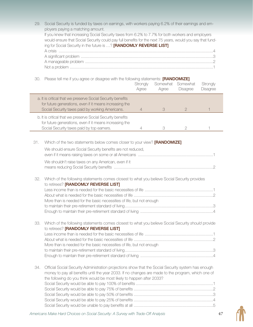- 29. Social Security is funded by taxes on earnings, with workers paying 6.2% of their earnings and employers paying a matching amount. If you knew that increasing Social Security taxes from 6.2% to 7.7% for both workers and employers would ensure that Social Security could pay full benefits for the next 75 years, would you say that funding for Social Security in the future is ...? [RANDOMLY REVERSE LIST] A crisis ............................................................................................................................................4 A significant problem ........................................................................................................................3 A manageable problem ....................................................................................................................2 Not a problem ..................................................................................................................................1
- 30. Please tell me if you agree or disagree with the following statements: [RANDOMIZE]

|     | Thease fell the if you agree of ulbagree with the following statements. <b>[Individuality</b> ]                                                                                                                                                                                    | Strongly<br>Agree | Agree | Somewhat Somewhat<br>Disagree | Strongly<br>Disagree |
|-----|------------------------------------------------------------------------------------------------------------------------------------------------------------------------------------------------------------------------------------------------------------------------------------|-------------------|-------|-------------------------------|----------------------|
|     | a. It is critical that we preserve Social Security benefits<br>for future generations, even if it means increasing the<br>Social Security taxes paid by working Americans.                                                                                                         | 4                 | 3     | $\mathbf{2}$                  | 1                    |
|     | b. It is critical that we preserve Social Security benefits<br>for future generations, even if it means increasing the<br>Social Security taxes paid by top earners.                                                                                                               | 4                 | 3     | $\mathbf{2}$                  | 1                    |
| 31. | Which of the two statements below comes closer to your view? [RANDOMIZE]<br>We should ensure Social Security benefits are not reduced,<br>We shouldn't raise taxes on any American, even if it                                                                                     |                   |       |                               |                      |
| 32. | Which of the following statements comes closest to what you believe Social Security provides<br>to retirees? [RANDOMLY REVERSE LIST]<br>More than is needed for the basic necessities of life, but not enough                                                                      |                   |       |                               |                      |
| 33. | Which of the following statements comes closest to what you believe Social Security should provide<br>to retirees? [RANDOMLY REVERSE LIST]<br>More than is needed for the basic necessities of life, but not enough                                                                |                   |       |                               |                      |
| 34. | Official Social Security Administration projections show that the Social Security system has enough<br>money to pay all benefits until the year 2033. If no changes are made to the program, which one of<br>the following do you think would be most likely to happen after 2033? |                   |       |                               |                      |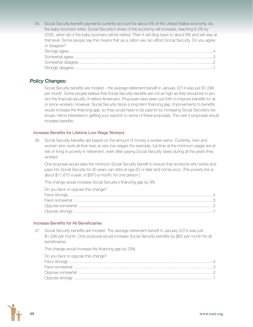35. Social Security benefit payments currently account for about 5% of the United States economy. As the baby boomers retire, Social Security's share of the economy will increase, reaching 6.2% by 2035, when all of the baby boomers will be retired. Then it will drop back to about 6% and will stay at that level. Some people say this means that as a nation we can afford Social Security. Do you agree or disagree?

#### *Policy Changes:*

Social Security benefits are modest – the average retirement benefit in January 2014 was just \$1,296 per month. Some people believe that Social Security benefits are not as high as they should be to protect the financial security of retired Americans. Proposals have been put forth to improve benefits for all or some workers. However, Social Security faces a long-term financing gap. Improvements to benefits would increase the financing gap, so they would have to be paid for by increasing Social Security's revenues. We're interested in getting your reaction to some of these proposals. The next 4 proposals would increase benefits.

#### Increase Benefits for Lifetime Low-Wage Workers

36. Social Security benefits are based on the amount of money a worker earns. Currently, men and women who work all their lives at very low wages (for example, full-time at the minimum wage) are at risk of living in poverty in retirement, even after paying Social Security taxes during all the years they worked.

One proposal would raise the minimum Social Security benefit to ensure that someone who works and pays into Social Security for 30 years can retire at age 62 or later and not be poor. (The poverty line is about \$11,670 a year, or \$970 a month, for one person.)

This change would increase Social Security's financing gap by 9%.

| Do you favor or oppose this change? |  |
|-------------------------------------|--|
|                                     |  |
|                                     |  |
|                                     |  |
|                                     |  |

#### Increase Benefits for All Beneficiaries

37. Social Security benefits are modest. The average retirement benefit in January 2014 was just \$1,296 per month. One proposal would increase Social Security benefits by \$65 per month for all beneficiaries.

This change would increase the financing gap by 29%.

| Do you favor or oppose this change? |  |
|-------------------------------------|--|
|                                     |  |
|                                     |  |
|                                     |  |
|                                     |  |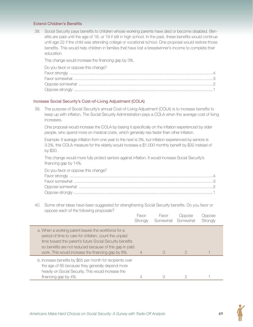#### Extend Children's Benefits

38. Social Security pays benefits to children whose working parents have died or become disabled. Benefits are paid until the age of 18, or 19 if still in high school. In the past, these benefits would continue until age 22 if the child was attending college or vocational school. One proposal would restore those benefits. This would help children in families that have lost a breadwinner's income to complete their education.

This change would increase the financing gap by 3%.

| Do you favor or oppose this change? |  |
|-------------------------------------|--|
|                                     |  |
|                                     |  |
|                                     |  |
|                                     |  |

#### Increase Social Security's Cost-of-Living Adjustment (COLA)

39. The purpose of Social Security's annual Cost-of-Living Adjustment (COLA) is to increase benefits to keep up with inflation. The Social Security Administration pays a COLA when the average cost of living increases.

One proposal would increase the COLA by basing it specifically on the inflation experienced by older people, who spend more on medical costs, which generally rise faster than other inflation.

Example: If average inflation from one year to the next is 3%, but inflation experienced by seniors is 3.2%, this COLA measure for the elderly would increase a \$1,000 monthly benefit by \$32 instead of by \$30.

This change would more fully protect seniors against inflation. It would increase Social Security's financing gap by 14%.

Do you favor or oppose this change? Favor strongly ..................................................................................................................................4 Favor somewhat ..............................................................................................................................3 Oppose somewhat ..........................................................................................................................2 Oppose strongly ..............................................................................................................................1

40. Some other ideas have been suggested for strengthening Social Security benefits. Do you favor or oppose each of the following proposals?

|                                                                                                                                                                                                                                                                                           | Favor<br>Strongly | <b>Havor</b><br>Somewhat | Jppose<br>Somewhat | Oppose<br>Strongly |
|-------------------------------------------------------------------------------------------------------------------------------------------------------------------------------------------------------------------------------------------------------------------------------------------|-------------------|--------------------------|--------------------|--------------------|
| a. When a working parent leaves the workforce for a<br>period of time to care for children, count the unpaid<br>time toward the parent's future Social Security benefits<br>so benefits are not reduced because of this gap in paid<br>work. This would increase the financing gap by 8%. | 4                 | 3                        | $\mathcal{P}$      |                    |
| b. Increase benefits by \$65 per month for recipients over<br>the age of 85 because they generally depend more<br>heavily on Social Security. This would increase the<br>financing gap by 4%.                                                                                             |                   | 3                        | 2                  |                    |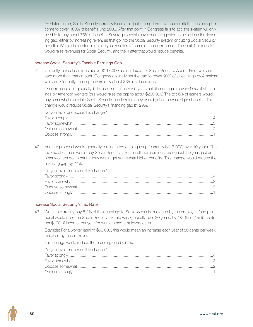As stated earlier, Social Security currently faces a projected long-term revenue shortfall. It has enough income to cover 100% of benefits until 2033. After that point, if Congress fails to act, the system will only be able to pay about 75% of benefits. Several proposals have been suggested to help close the financing gap, either by increasing revenues that go into the Social Security system or cutting Social Security benefits. We are interested in getting your reaction to some of these proposals. The next 4 proposals would raise revenues for Social Security, and the 4 after that would reduce benefits.

#### Increase Social Security's Taxable Earnings Cap

41. Currently, annual earnings above \$117,000 are not taxed for Social Security. About 6% of workers earn more than that amount. Congress originally set the cap to cover 90% of all earnings by American workers. Currently, the cap covers only about 83% of all earnings.

One proposal is to gradually lift the earnings cap over 5 years until it once again covers 90% of all earnings by American workers (this would raise the cap to about \$230,000).The top 6% of earners would pay somewhat more into Social Security, and in return they would get somewhat higher benefits. This change would reduce Social Security's financing gap by 29%.

| Do you favor or oppose this change? |  |
|-------------------------------------|--|
|                                     |  |
|                                     |  |
|                                     |  |
|                                     |  |

42. Another proposal would gradually eliminate the earnings cap (currently \$117,000) over 10 years. The top 6% of earners would pay Social Security taxes on all their earnings throughout the year, just as other workers do. In return, they would get somewhat higher benefits. This change would reduce the financing gap by 74%.

| Do you favor or oppose this change? |  |
|-------------------------------------|--|
|                                     |  |
|                                     |  |
|                                     |  |
|                                     |  |

#### Increase Social Security's Tax Rate

43. Workers currently pay 6.2% of their earnings to Social Security, matched by the employer. One proposal would raise the Social Security tax rate very gradually over 20 years, by 1/20th of 1% (5 cents per \$100 of income) per year for workers and employers each.

Example: For a worker earning \$50,000, this would mean an increase each year of 50 cents per week, matched by the employer.

This change would reduce the financing gap by 52%.

| Do you favor or oppose this change? |  |
|-------------------------------------|--|
|                                     |  |
|                                     |  |
|                                     |  |
|                                     |  |

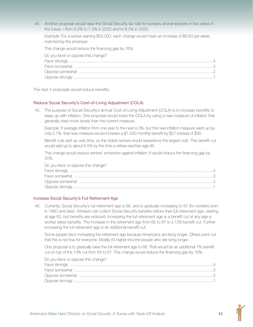44. Another proposal would raise the Social Security tax rate for workers and employers in two steps in the future – from 6.2% to 7.2% in 2022 and to 8.2% in 2052.

Example: For a worker earning \$50,000, each change would mean an increase of \$9.60 per week, matched by the employer.

This change would reduce the financing gap by 76%.

| Do you favor or oppose this change? |  |
|-------------------------------------|--|
|                                     |  |

The next 4 proposals would reduce benefits.

#### Reduce Social Security's Cost-of-Living Adjustment (COLA)

45. The purpose of Social Security's annual Cost-of-Living Adjustment (COLA) is to increase benefits to keep up with inflation. One proposal would lower the COLA by using a new measure of inflation that generally rises more slowly than the current measure.

Example: If average inflation from one year to the next is 3%, but the new inflation measure went up by only 2.7%, that new measure would increase a \$1,000 monthly benefit by \$27 instead of \$30.

Benefit cuts add up over time, so the oldest seniors would experience the largest cuts. This benefit cut would add up to about 6.5% by the time a retiree reaches age 85.

This change would reduce seniors' protection against inflation. It would reduce the financing gap by 20%.

Do you favor or oppose this change?

#### Increase Social Security's Full Retirement Age

46. Currently, Social Security's full retirement age is 66, and is gradually increasing to 67 (for workers born in 1960 and later). Workers can collect Social Security benefits before their full retirement age, starting at age 62, but benefits are reduced. Increasing the full retirement age is a benefit cut at any age a worker takes benefits. The increase in the retirement age from 65 to 67 is a 13% benefit cut. Further increasing the full retirement age is an additional benefit cut.

Some people favor increasing the retirement age because Americans are living longer. Others point out that this is not true for everyone. Mostly it's higher-income people who are living longer.

One proposal is to gradually raise the full retirement age to 68. That would be an additional 7% benefit cut on top of the 13% cut from 65 to 67. This change would reduce the financing gap by 16%.

Do you favor or oppose this change?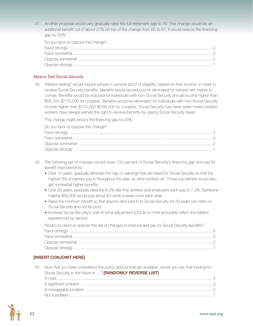47. Another proposal would very gradually raise the full retirement age to 70. This change would be an additional benefit cut of about 21% on top of the change from 65 to 67. It would reduce the financing gap by 25%.

| Do you favor or oppose this change? |  |
|-------------------------------------|--|
|                                     |  |
|                                     |  |
|                                     |  |
|                                     |  |

#### Means-Test Social Security

48. "Means-testing" would require people to provide proof of eligibility, based on their income, in order to receive Social Security benefits. Benefits would be reduced or eliminated for retirees with higher incomes. Benefits would be reduced for individuals with non-Social Security annual income higher than \$55,000 (\$110,000 for couples). Benefits would be eliminated for individuals with non-Social Security income higher than \$110,000 (\$165,000 for couples). Social Security has never been means-tested: workers have always earned the right to receive benefits by paying Social Security taxes.

This change might reduce the financing gap by 20%.

| Do you favor or oppose this change? |  |
|-------------------------------------|--|
|                                     |  |
|                                     |  |
|                                     |  |
|                                     |  |

- 49. The following set of changes would close 100 percent of Social Security's financing gap and pay for benefit improvements:
	- Over 10 years, gradually eliminate the cap on earnings that are taxed for Social Security so that the highest 6% of earners pay in throughout the year, as other workers do. Those top earners would also get somewhat higher benefits;
	- Over 20 years, gradually raise the 6.2% rate that workers and employers each pay to 7.2%. Someone making \$50,000 would pay about 50 cents a week more each year;
	- Raise the minimum benefit so that anyone who paid in to Social Security for 30 years can retire on Social Security and not be poor;
	- Increase Social Security's cost-of-living adjustment (COLA) to more accurately reflect the inflation experienced by seniors.

| Would you favor or oppose this set of changes to improve and pay for Social Security benefits? |  |
|------------------------------------------------------------------------------------------------|--|
|                                                                                                |  |
|                                                                                                |  |
|                                                                                                |  |
|                                                                                                |  |

#### [INSERT CONJOINT HERE]

50. Now that you have considered the policy options that are available, would you say that funding for Social Security in the future is ...? [RANDOMLY REVERSE LIST] A crisis ............................................................................................................................................4 A significant problem ........................................................................................................................3 A manageable problem ....................................................................................................................2 Not a problem ..................................................................................................................................1

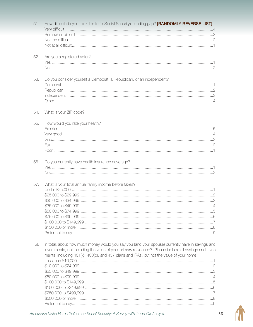| 51. | How difficult do you think it is to fix Social Security's funding gap? [RANDOMLY REVERSE LIST]                                                                                                                                                                                                         |
|-----|--------------------------------------------------------------------------------------------------------------------------------------------------------------------------------------------------------------------------------------------------------------------------------------------------------|
|     |                                                                                                                                                                                                                                                                                                        |
|     |                                                                                                                                                                                                                                                                                                        |
|     |                                                                                                                                                                                                                                                                                                        |
| 52. | Are you a registered voter?                                                                                                                                                                                                                                                                            |
|     |                                                                                                                                                                                                                                                                                                        |
| 53. | Do you consider yourself a Democrat, a Republican, or an independent?                                                                                                                                                                                                                                  |
|     |                                                                                                                                                                                                                                                                                                        |
|     |                                                                                                                                                                                                                                                                                                        |
| 54. | What is your ZIP code?                                                                                                                                                                                                                                                                                 |
| 55. | How would you rate your health?                                                                                                                                                                                                                                                                        |
|     |                                                                                                                                                                                                                                                                                                        |
|     |                                                                                                                                                                                                                                                                                                        |
|     |                                                                                                                                                                                                                                                                                                        |
|     |                                                                                                                                                                                                                                                                                                        |
|     |                                                                                                                                                                                                                                                                                                        |
| 56. | Do you currently have health insurance coverage?                                                                                                                                                                                                                                                       |
|     |                                                                                                                                                                                                                                                                                                        |
|     |                                                                                                                                                                                                                                                                                                        |
| 57. | What is your total annual family income before taxes?                                                                                                                                                                                                                                                  |
|     |                                                                                                                                                                                                                                                                                                        |
|     |                                                                                                                                                                                                                                                                                                        |
|     |                                                                                                                                                                                                                                                                                                        |
|     |                                                                                                                                                                                                                                                                                                        |
|     |                                                                                                                                                                                                                                                                                                        |
|     |                                                                                                                                                                                                                                                                                                        |
|     |                                                                                                                                                                                                                                                                                                        |
|     |                                                                                                                                                                                                                                                                                                        |
|     |                                                                                                                                                                                                                                                                                                        |
| 58. | In total, about how much money would you say you (and your spouse) currently have in savings and<br>investments, not including the value of your primary residence? Please include all savings and invest-<br>ments, including 401(k), 403(b), and 457 plans and IRAs, but not the value of your home. |
|     |                                                                                                                                                                                                                                                                                                        |
|     |                                                                                                                                                                                                                                                                                                        |
|     |                                                                                                                                                                                                                                                                                                        |
|     |                                                                                                                                                                                                                                                                                                        |
|     |                                                                                                                                                                                                                                                                                                        |
|     |                                                                                                                                                                                                                                                                                                        |
|     |                                                                                                                                                                                                                                                                                                        |
|     |                                                                                                                                                                                                                                                                                                        |
|     |                                                                                                                                                                                                                                                                                                        |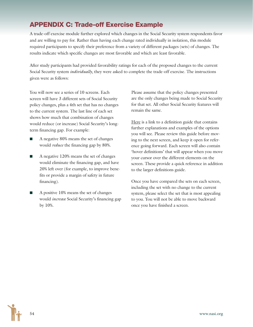# APPENDIX C: Trade-off Exercise Example

A trade-off exercise module further explored which changes in the Social Security system respondents favor and are willing to pay for. Rather than having each change rated individually in isolation, this module required participants to specify their preference from a variety of different packages (sets) of changes. The results indicate which specific changes are most favorable and which are least favorable.

After study participants had provided favorability ratings for each of the proposed changes to the current Social Security system *individually*, they were asked to complete the trade-off exercise. The instructions given were as follows:

You will now see a series of 10 screens. Each screen will have 3 different sets of Social Security policy changes, plus a 4th set that has no changes to the current system. The last line of each set shows how much that combination of changes would reduce (or increase) Social Security's longterm financing gap. For example:

- A negative 80% means the set of changes would *reduce* the financing gap by 80%.
- A negative 120% means the set of changes would eliminate the financing gap, and have 20% left over (for example, to improve benefits or provide a margin of safety in future financing).
- A positive 10% means the set of changes would *increase* Social Security's financing gap by 10%.

Please assume that the policy changes presented are the only changes being made to Social Security for that set. All other Social Security features will remain the same.

Here is a link to a definition guide that contains further explanations and examples of the options you will see. Please review this guide before moving to the next screen, and keep it open for reference going forward. Each screen will also contain 'hover definitions' that will appear when you move your cursor over the different elements on the screen. These provide a quick reference in addition to the larger definitions guide.

Once you have compared the sets on each screen, including the set with no change to the current system, please select the set that is most appealing to you. You will not be able to move backward once you have finished a screen.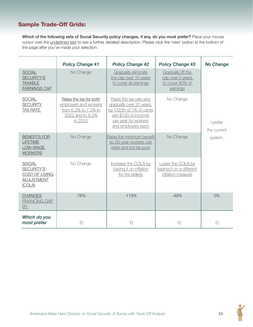### Sample Trade-Off Grids:

Which of the following sets of Social Security policy changes, if any, do you most prefer? Place your mouse cursor over the underlined text to see a further detailed description. Please click the 'next' button at the bottom of the page after you've made your selection.

|                                                                              | <b>Policy Change #1</b>                                                                                | <b>Policy Change #2</b>                                                                                                                               | <b>Policy Change #3</b>                                               | <b>No Change</b>        |
|------------------------------------------------------------------------------|--------------------------------------------------------------------------------------------------------|-------------------------------------------------------------------------------------------------------------------------------------------------------|-----------------------------------------------------------------------|-------------------------|
| <b>SOCIAL</b><br><b>SECURITY'S</b><br><b>TAXABLE</b><br><b>EARNINGS CAP</b>  | No Change                                                                                              | Gradually eliminate<br>the cap over 10 years<br>to cover all earnings                                                                                 | Gradually lift the<br>cap over 5 years<br>to cover 90% of<br>earnings |                         |
| SOCIAL<br><b>SECURITY</b><br><b>TAX RATE</b>                                 | Raise the tax for both<br>employers and workers<br>from 6.2% to 7.2% in<br>2022 and to 8.2%<br>in 2052 | Raise the tax rate very<br>gradually over 20 years,<br>by 1/20th of 1% (5 cents<br>per \$100 of income)<br>per year for workers<br>and employers each | No Change                                                             | I prefer<br>the current |
| <b>BENEFITS FOR</b><br><b>LIFETIME</b><br>LOW-WAGE<br><b>WORKERS</b>         | No Change                                                                                              | Raise the minimum benefit<br>so 30-year workers can<br>retire and not be poor                                                                         | No Change                                                             | system.                 |
| <b>SOCIAL</b><br>SECURITY'S<br>COST-OF-LIVING<br><b>ADJUSTMENT</b><br>(COLA) | No Change                                                                                              | Increase the COLA by<br>basing it on inflation<br>for the elderly                                                                                     | Lower the COLA by<br>basing it on a different<br>inflation measure    |                         |
| <b>CHANGES</b><br><b>FINANCING GAP</b><br>BY:                                | $-76%$                                                                                                 | $-113%$                                                                                                                                               | $-49%$                                                                | 0%                      |
| Which do you<br>most prefer                                                  | $\bigcirc$                                                                                             | $\bigcirc$                                                                                                                                            | $\circ$                                                               | $\bigcirc$              |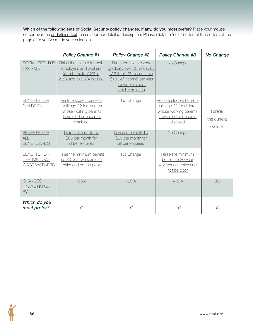Which of the following sets of Social Security policy changes, if any, do you most prefer? Place your mouse cursor over the underlined text to see a further detailed description. Please click the 'next' button at the bottom of the page after you've made your selection.

|                                                             | <b>Policy Change #1</b>                                                                                           | <b>Policy Change #2</b>                                                                                                                               | Policy Change #3                                                                                                  | <b>No Change</b>                   |
|-------------------------------------------------------------|-------------------------------------------------------------------------------------------------------------------|-------------------------------------------------------------------------------------------------------------------------------------------------------|-------------------------------------------------------------------------------------------------------------------|------------------------------------|
| SOCIAL SECURITY<br><b>TAX RATE</b>                          | Raise the tax rate for both<br>employers and workers<br>from 6.2% to 7.2% in<br>2022 and to 8.2% in 2052          | Raise the tax rate very<br>gradually over 20 years, by<br>1/20th of 1% (5 cents per<br>\$100 of income) per year<br>for workers and<br>employers each | No Change                                                                                                         |                                    |
| <b>BENEFITS FOR</b><br><b>CHILDREN</b>                      | Restore student benefits<br>until age 22 for children<br>whose working parents<br>have died or become<br>disabled | No Change                                                                                                                                             | Restore student benefits<br>until age 22 for children<br>whose working parents<br>have died or become<br>disabled | I prefer<br>the current<br>system. |
| <b>BENEFITS FOR</b><br>ALL<br><b>BENEFICIARIES</b>          | Increase benefits by<br>\$65 per month for<br>all beneficiaries                                                   | Increase benefits by<br>\$65 per month for<br>all beneficiaries                                                                                       | No Change                                                                                                         |                                    |
| <b>BENEFITS FOR</b><br>LIFETIME LOW-<br><b>WAGE WORKERS</b> | Raise the minimum benefit<br>so 30-year workers can<br>retire and not be poor                                     | No Change                                                                                                                                             | Raise the minimum<br>benefit so 30-year<br>workers can retire and<br>not be poor                                  |                                    |
| <b>CHANGES</b><br><b>FINANCING GAP</b><br>BY:               | $-35%$                                                                                                            | $-23%$                                                                                                                                                | $+12%$                                                                                                            | 0%                                 |
| Which do you<br>most prefer?                                | $\left(\right)$                                                                                                   | $\left(\right)$                                                                                                                                       | ∩                                                                                                                 | $\bigcirc$                         |

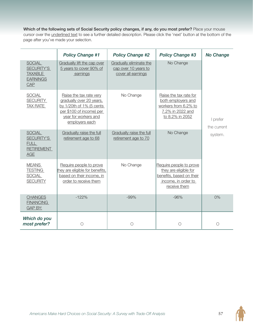Which of the following sets of Social Security policy changes, if any, do you most prefer? Place your mouse cursor over the underlined text to see a further detailed description. Please click the 'next' button at the bottom of the page after you've made your selection.

|                                                                               | <b>Policy Change #1</b>                                                                                                                               | <b>Policy Change #2</b>                                               | Policy Change #3                                                                                                    | <b>No Change</b>        |
|-------------------------------------------------------------------------------|-------------------------------------------------------------------------------------------------------------------------------------------------------|-----------------------------------------------------------------------|---------------------------------------------------------------------------------------------------------------------|-------------------------|
| <b>SOCIAL</b><br>SECURITY'S<br><b>TAXABLE</b><br><b>EARNINGS</b><br>CAP       | Gradually lift the cap over<br>5 years to cover 90% of<br>earnings                                                                                    | Gradually eliminate the<br>cap over 10 years to<br>cover all earnings | No Change                                                                                                           |                         |
| SOCIAL<br><b>SECURITY</b><br><b>TAX RATE</b>                                  | Raise the tax rate very<br>gradually over 20 years,<br>by 1/20th of 1% (5 cents<br>per \$100 of income) per<br>year for workers and<br>employers each | No Change                                                             | Raise the tax rate for<br>both employers and<br>workers from 6.2% to<br>7.2% in 2022 and<br>to 8.2% in 2052         | I prefer<br>the current |
| <b>SOCIAL</b><br>SECURITY'S<br><b>FULL</b><br><b>RETIREMENT</b><br><b>AGE</b> | Gradually raise the full<br>retirement age to 68                                                                                                      | Gradually raise the full<br>retirement age to 70                      | No Change                                                                                                           | system.                 |
| <b>MEANS</b><br><b>TESTING</b><br><b>SOCIAL</b><br><b>SECURITY</b>            | Require people to prove<br>hey are eligible for benefits,<br>based on their income, in<br>order to receive them                                       | No Change                                                             | Require people to prove<br>they are eligible for<br>benefits, based on their<br>income, in order to<br>receive them |                         |
| <b>CHANGES</b><br><b>FINANCING</b><br><b>GAP BY:</b>                          | $-122%$                                                                                                                                               | $-99%$                                                                | $-96%$                                                                                                              | 0%                      |
| Which do you<br>most prefer?                                                  | $\bigcirc$                                                                                                                                            | $\bigcirc$                                                            | $\bigcirc$                                                                                                          | $\circ$                 |

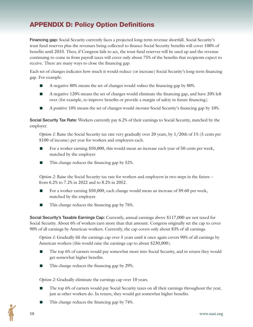# APPENDIX D: Policy Option Definitions

Financing gap: Social Security currently faces a projected long-term revenue shortfall. Social Security's trust fund reserves plus the revenues being collected to finance Social Security benefits will cover 100% of benefits until 2033. Then, if Congress fails to act, the trust fund reserves will be used up and the revenue continuing to come in from payroll taxes will cover only about 75% of the benefits that recipients expect to receive. There are many ways to close the financing gap.

Each set of changes indicates how much it would reduce (or increase) Social Security's long-term financing gap. For example:

- A negative 80% means the set of changes would *reduce* the financing gap by 80%.
- A negative 120% means the set of changes would eliminate the financing gap, and have 20% left over (for example, to improve benefits or provide a margin of safety in future financing).
- A positive 10% means the set of changes would *increase* Social Security's financing gap by 10%.

Social Security Tax Rate: Workers currently pay 6.2% of their earnings to Social Security, matched by the employer.

*Option 1:* Raise the Social Security tax rate very gradually over 20 years, by 1/20th of 1% (5 cents per \$100 of income) per year for workers and employers each.

- For a worker earning \$50,000, this would mean an increase each year of 50 cents per week, matched by the employer.
- This change reduces the financing gap by 52%.

*Option 2:* Raise the Social Security tax rate for workers and employers in two steps in the future – from 6.2% to 7.2% in 2022 and to 8.2% in 2052.

- For a worker earning \$50,000, each change would mean an increase of \$9.60 per week, matched by the employer.
- This change reduces the financing gap by 76%.

Social Security's Taxable Earnings Cap: Currently, annual earnings above \$117,000 are not taxed for Social Security. About 6% of workers earn more than that amount. Congress originally set the cap to cover 90% of all earnings by American workers. Currently, the cap covers only about 83% of all earnings.

*Option 1:* Gradually lift the earnings cap over 5 years until it once again covers 90% of all earnings by American workers (this would raise the earnings cap to about \$230,000).

- The top 6% of earners would pay somewhat more into Social Security, and in return they would get somewhat higher benefits.
- This change reduces the financing gap by 29%.

*Option 2:* Gradually eliminate the earnings cap over 10 years.

- The top 6% of earners would pay Social Security taxes on all their earnings throughout the year, just as other workers do. In return, they would get somewhat higher benefits.
- This change reduces the financing gap by 74%.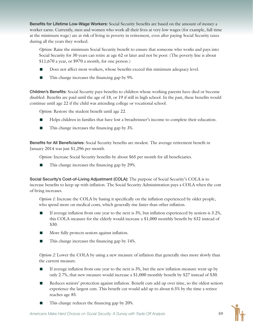Benefits for Lifetime Low-Wage Workers: Social Security benefits are based on the amount of money a worker earns. Currently, men and women who work all their lives at very low wages (for example, full-time at the minimum wage) are at risk of living in poverty in retirement, even after paying Social Security taxes during all the years they worked.

*Option:* Raise the minimum Social Security benefit to ensure that someone who works and pays into Social Security for 30 years can retire at age 62 or later and not be poor. (The poverty line is about \$11,670 a year, or \$970 a month, for one person.)

- Does not affect most workers, whose benefits exceed this minimum adequacy level.
- This change increases the financing gap by 9%.

Children's Benefits: Social Security pays benefits to children whose working parents have died or become disabled. Benefits are paid until the age of 18, or 19 if still in high school. In the past, these benefits would continue until age 22 if the child was attending college or vocational school.

*Option:* Restore the student benefit until age 22.

- Helps children in families that have lost a breadwinner's income to complete their education.
- This change increases the financing gap by 3%.

Benefits for All Beneficiaries: Social Security benefits are modest. The average retirement benefit in January 2014 was just \$1,296 per month.

*Option:* Increase Social Security benefits by about \$65 per month for all beneficiaries.

■ This change increases the financing gap by 29%.

Social Security's Cost-of-Living Adjustment (COLA): The purpose of Social Security's COLA is to increase benefits to keep up with inflation. The Social Security Administration pays a COLA when the cost of living increases.

*Option 1:* Increase the COLA by basing it specifically on the inflation experienced by older people, who spend more on medical costs, which generally rise faster than other inflation.

- If average inflation from one year to the next is  $3\%$ , but inflation experienced by seniors is  $3.2\%$ , this COLA measure for the elderly would increase a \$1,000 monthly benefit by \$32 instead of \$30.
- More fully protects seniors against inflation.
- This change increases the financing gap by 14%.

*Option 2:* Lower the COLA by using a new measure of inflation that generally rises more slowly than the current measure.

- If average inflation from one year to the next is  $3\%$ , but the new inflation measure went up by only 2.7%, that new measure would increase a \$1,000 monthly benefit by \$27 instead of \$30.
- Reduces seniors' protection against inflation. Benefit cuts add up over time, so the oldest seniors experience the largest cuts. This benefit cut would add up to about 6.5% by the time a retiree reaches age 85.
- This change reduces the financing gap by 20%.

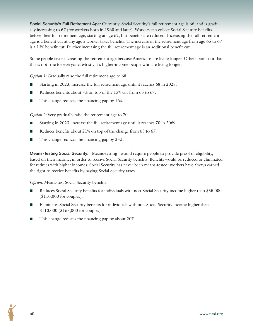Social Security's Full Retirement Age: Currently, Social Security's full retirement age is 66, and is gradually increasing to 67 (for workers born in 1960 and later). Workers can collect Social Security benefits before their full retirement age, starting at age 62, but benefits are reduced. Increasing the full retirement age is a benefit cut at any age a worker takes benefits. The increase in the retirement age from age 65 to 67 is a 13% benefit cut. Further increasing the full retirement age is an additional benefit cut.

Some people favor increasing the retirement age because Americans are living longer. Others point out that this is not true for everyone. Mostly it's higher-income people who are living longer.

*Option 1:* Gradually raise the full retirement age to 68.

- Starting in 2023, increase the full retirement age until it reaches 68 in 2028.
- Reduces benefits about 7% on top of the 13% cut from 65 to 67.
- This change reduces the financing gap by 16<sup>%</sup>

*Option 2:* Very gradually raise the retirement age to 70.

- Starting in 2023, increase the full retirement age until it reaches 70 in 2069.
- Reduces benefits about 21% on top of the change from 65 to 67.
- This change reduces the financing gap by 25%.

Means-Testing Social Security: "Means-testing" would require people to provide proof of eligibility, based on their income, in order to receive Social Security benefits. Benefits would be reduced or eliminated for retirees with higher incomes. Social Security has never been means-tested: workers have always earned the right to receive benefits by paying Social Security taxes.

*Option:* Means-test Social Security benefits.

- Reduces Social Security benefits for individuals with non-Social Security income higher than \$55,000 (\$110,000 for couples).
- Eliminates Social Security benefits for individuals with non-Social Security income higher than \$110,000 (\$165,000 for couples).
- This change reduces the financing gap by about 20%.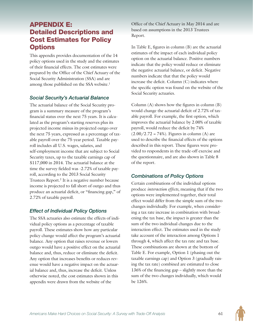## APPENDIX E: Detailed Descriptions and Cost Estimates for Policy **Options**

This appendix provides documentation of the 14 policy options used in the study and the estimates of their financial effects. The cost estimates were prepared by the Office of the Chief Actuary of the Social Security Administration (SSA) and are among those published on the SSA website.<sup>1</sup>

#### *Social Security's Actuarial Balance*

The actuarial balance of the Social Security program is a summary measure of the program's financial status over the next 75 years. It is calculated as the program's starting reserves plus its projected income minus its projected outgo over the next 75 years, expressed as a percentage of taxable payroll over the 75-year period. Taxable payroll includes all U.S. wages, salaries, and self-employment income that are subject to Social Security taxes, up to the taxable earnings cap of \$117,000 in 2014. The actuarial balance at the time the survey fielded was -2.72% of taxable payroll, according to the 2013 Social Security Trustees Report.<sup>2</sup> It is a negative number because income is projected to fall short of outgo and thus produce an actuarial deficit, or "financing gap," of 2.72% of taxable payroll.

#### *Effect of Individual Policy Options*

The SSA actuaries also estimate the effects of individual policy options as a percentage of taxable payroll. These estimates show how any particular policy change would affect the program's actuarial balance. Any option that raises revenue or lowers outgo would have a positive effect on the actuarial balance and, thus, reduce or eliminate the deficit. Any option that increases benefits or reduces revenue would have a negative impact on the actuarial balance and, thus, increase the deficit. Unless otherwise noted, the cost estimates shown in this appendix were drawn from the website of the

Office of the Chief Actuary in May 2014 and are based on assumptions in the 2013 Trustees Report.

In Table E, figures in column (B) are the actuarial estimates of the impact of each individual policy option on the actuarial balance. Positive numbers indicate that the policy would reduce or eliminate the negative actuarial balance, or deficit. Negative numbers indicate that that the policy would increase the deficit. Column (C) indicates where the specific option was found on the website of the Social Security actuaries.

Column  $(A)$  shows how the figures in column  $(B)$ would change the actuarial deficit of 2.72% of taxable payroll. For example, the first option, which improves the actuarial balance by 2.00% of taxable payroll, would reduce the deficit by 74%  $(2.00/2.72 = 74%)$ . Figures in column (A) are used to describe the financial effects of the options described in this report. These figures were provided to respondents in the trade-off exercise and the questionnaire, and are also shown in Table 8 of the report.

#### *Combinations of Policy Options*

Certain combinations of the individual options produce *interaction effects*, meaning that if the two options were implemented together, their total effect would differ from the simple sum of the two changes individually. For example, when considering a tax rate increase in combination with broadening the tax base, the impact is greater than the sum of the two individual changes due to the interaction effect. The estimates used in the study take account of the interaction among Options 1 through 4, which affect the tax rate and tax base. These combinations are shown at the bottom of Table E. For example, Option 1 (phasing out the taxable earnings cap) and Option 3 (gradually raising the tax rate) combined are estimated to close 136% of the financing gap – slightly more than the sum of the two changes individually, which would be 126%.

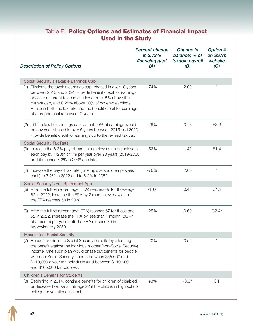## Table E. Policy Options and Estimates of Financial Impact Used in the Study

| <b>Description of Policy Options</b>                                                                                                                                                                                                                                                                                                                            | Percent change<br>in 2.72%<br>financing gap <sup>2</sup><br>(A) | Change in<br>balance: % of<br>taxable payroll<br>(B) | <b>Option #</b><br>on SSA's<br>website<br>(C) |
|-----------------------------------------------------------------------------------------------------------------------------------------------------------------------------------------------------------------------------------------------------------------------------------------------------------------------------------------------------------------|-----------------------------------------------------------------|------------------------------------------------------|-----------------------------------------------|
| Social Security's Taxable Earnings Cap                                                                                                                                                                                                                                                                                                                          |                                                                 |                                                      |                                               |
| Eliminate the taxable earnings cap, phased in over 10 years<br>(1)<br>between 2015 and 2024. Provide benefit credit for earnings<br>above the current tax cap at a lower rate: 5% above the<br>current cap, and 0.25% above 90% of covered earnings.<br>Phase in both the tax rate and the benefit credit for earnings<br>at a proportional rate over 10 years. | $-74%$                                                          | 2.00                                                 | 3                                             |
| Lift the taxable earnings cap so that 90% of earnings would<br>(2)<br>be covered, phased in over 5 years between 2015 and 2020.<br>Provide benefit credit for earnings up to the revised tax cap.                                                                                                                                                               | $-29%$                                                          | 0.78                                                 | E3.3                                          |
| <b>Social Security Tax Rate</b>                                                                                                                                                                                                                                                                                                                                 |                                                                 |                                                      |                                               |
| Increase the 6.2% payroll tax that employees and employers<br>(3)<br>each pay by 1/20th of 1% per year over 20 years (2019-2038),<br>until it reaches 7.2% in 2038 and later.                                                                                                                                                                                   | $-52%$                                                          | 1.42                                                 | E1.4                                          |
| (4) Increase the payroll tax rate (for employers and employees<br>each) to 7.2% in 2022 and to 8.2% in 2052.                                                                                                                                                                                                                                                    | $-76%$                                                          | 2.06                                                 | $\overline{4}$                                |
| Social Security's Full Retirement Age                                                                                                                                                                                                                                                                                                                           |                                                                 |                                                      |                                               |
| After the full retirement age (FRA) reaches 67 for those age<br>(5)<br>62 in 2022, increase the FRA by 2 months every year until<br>the FRA reaches 68 in 2028.                                                                                                                                                                                                 | $-16%$                                                          | 0.43                                                 | C1.2                                          |
| (6) After the full retirement age (FRA) reaches 67 for those age<br>62 in 2022, increase the FRA by less than 1 month (36/47<br>of a month) per year, until the FRA reaches 70 in<br>approximately 2050.                                                                                                                                                        | $-25%$                                                          | 0.69                                                 | C2.4 <sup>5</sup>                             |
| <b>Means-Test Social Security</b>                                                                                                                                                                                                                                                                                                                               |                                                                 |                                                      |                                               |
| Reduce or eliminate Social Security benefits by offsetting<br>$($ $\ell$ )<br>the benefit against the individual's other (non-Social Security)<br>income. One such plan would phase out benefits for people<br>with non-Social Security income between \$55,000 and<br>\$110,000 a year for individuals (and between \$110,000<br>and \$165,000 for couples).   | $-20%$                                                          | 0.54                                                 | 6                                             |
| <b>Children's Benefits for Students</b>                                                                                                                                                                                                                                                                                                                         |                                                                 |                                                      |                                               |
| Beginning in 2014, continue benefits for children of disabled<br>(8)<br>or deceased workers until age 22 if the child is in high school,<br>college, or vocational school.                                                                                                                                                                                      | $+3%$                                                           | $-0.07$                                              | D <sub>1</sub>                                |

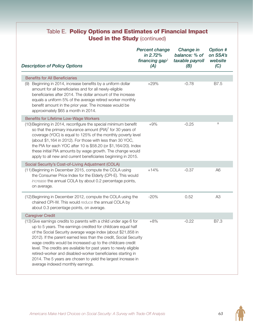## Table E. Policy Options and Estimates of Financial Impact Used in the Study (continued)

| <b>Description of Policy Options</b>                                                                                                                                                                                                                                                                                                                                                                                                                                                                                                                                              | Percent change<br>in 2.72%<br>financing gap <sup>2</sup><br>(A) | Change in<br>balance: % of<br>taxable payroll<br>(B) | <b>Option #</b><br>on SSA's<br>website<br>(C) |
|-----------------------------------------------------------------------------------------------------------------------------------------------------------------------------------------------------------------------------------------------------------------------------------------------------------------------------------------------------------------------------------------------------------------------------------------------------------------------------------------------------------------------------------------------------------------------------------|-----------------------------------------------------------------|------------------------------------------------------|-----------------------------------------------|
| <b>Benefits for All Beneficiaries</b>                                                                                                                                                                                                                                                                                                                                                                                                                                                                                                                                             |                                                                 |                                                      |                                               |
| Beginning in 2014, increase benefits by a uniform dollar<br>(9)<br>amount for all beneficiaries and for all newly-eligible<br>beneficiaries after 2014. The dollar amount of the increase<br>equals a uniform 5% of the average retired worker monthly<br>benefit amount in the prior year. The increase would be<br>approximately \$65 a month in 2014.                                                                                                                                                                                                                          | $+29%$                                                          | $-0.78$                                              | B7.5                                          |
| Benefits for Lifetime Low-Wage Workers<br>(10) Beginning in 2014, reconfigure the special minimum benefit<br>so that the primary insurance amount $(PIA)^7$ for 30 years of<br>coverage (YOC) is equal to 125% of the monthly poverty level<br>(about \$1,164 in 2012). For those with less than 30 YOC,<br>the PIA for each YOC after 10 is \$58.20 (or \$1,164/20). Index<br>these initial PIA amounts by wage growth. The change would<br>apply to all new and current beneficiaries beginning in 2015.                                                                        | $+9%$                                                           | $-0.25$                                              | 8                                             |
| Social Security's Cost-of-Living Adjustment (COLA)                                                                                                                                                                                                                                                                                                                                                                                                                                                                                                                                |                                                                 |                                                      |                                               |
| (11) Beginning in December 2015, compute the COLA using<br>the Consumer Price Index for the Elderly (CPI-E). This would<br>increase the annual COLA by about 0.2 percentage points,<br>on average.                                                                                                                                                                                                                                                                                                                                                                                | $+14%$                                                          | $-0.37$                                              | A6                                            |
| (12) Beginning in December 2012, compute the COLA using the<br>chained CPI-W. This would reduce the annual COLA by<br>about 0.3 percentage points, on average.                                                                                                                                                                                                                                                                                                                                                                                                                    | $-20%$                                                          | 0.52                                                 | A <sub>3</sub>                                |
| <b>Caregiver Credit</b>                                                                                                                                                                                                                                                                                                                                                                                                                                                                                                                                                           |                                                                 |                                                      |                                               |
| (13) Give earnings credits to parents with a child under age 6 for<br>up to 5 years. The earnings credited for childcare equal half<br>of the Social Security average wage index (about \$21,858 in<br>2012). If the parent earned less than the credit, Social Security<br>wage credits would be increased up to the childcare credit<br>level. The credits are available for past years to newly eligible<br>retired-worker and disabled-worker beneficiaries starting in<br>2014. The 5 years are chosen to yield the largest increase in<br>average indexed monthly earnings. | $+8%$                                                           | $-0.22$                                              | <b>B7.3</b>                                   |

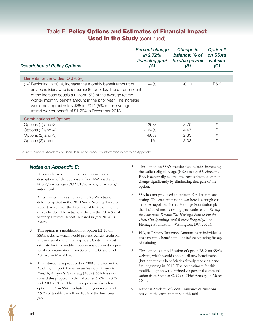## Table E. Policy Options and Estimates of Financial Impact **Used in the Study (continued)**

| <b>Description of Policy Options</b>                                                                                                                                                                                                                                                                                                                                                | Percent change<br>in $2.72\%$<br>financing gap <sup>2</sup><br>(A) | Change in<br>balance: % of<br>taxable payroll<br>(B) | Option #<br>on SSA's<br>website<br>(C) |
|-------------------------------------------------------------------------------------------------------------------------------------------------------------------------------------------------------------------------------------------------------------------------------------------------------------------------------------------------------------------------------------|--------------------------------------------------------------------|------------------------------------------------------|----------------------------------------|
| Benefits for the Oldest Old (85+)                                                                                                                                                                                                                                                                                                                                                   |                                                                    |                                                      |                                        |
| (14) Beginning in 2014, increase the monthly benefit amount of<br>any beneficiary who is (or turns) 85 or older. The dollar amount<br>of the increase equals a uniform 5% of the average retired<br>worker monthly benefit amount in the prior year. The increase<br>would be approximately \$65 in 2014 (5% of the average<br>retired worker benefit of \$1,294 in December 2013). | $+4\%$                                                             | $-0.10$                                              | B <sub>6.2</sub>                       |
| <b>Combinations of Options</b>                                                                                                                                                                                                                                                                                                                                                      |                                                                    |                                                      |                                        |
| Options (1) and (3)                                                                                                                                                                                                                                                                                                                                                                 | $-136%$                                                            | 3.70                                                 | 9                                      |
| Options (1) and (4)                                                                                                                                                                                                                                                                                                                                                                 | $-164%$                                                            | 4.47                                                 | 9                                      |
| Options $(2)$ and $(3)$                                                                                                                                                                                                                                                                                                                                                             | -86%                                                               | 2.33                                                 | 9                                      |
| Options $(2)$ and $(4)$                                                                                                                                                                                                                                                                                                                                                             | $-111%$                                                            | 3.03                                                 | 9                                      |

Source: National Academy of Social Insurance based on information in notes on Appendix E.

#### *Notes on Appendix E:*

- 1. Unless otherwise noted, the cost estimates and descriptions of the options are from SSA's website: http://www.ssa.gov/OACT/solvency/provisions/ index.html
- 2. All estimates in this study use the 2.72% actuarial deficit projected in the 2013 Social Security Trustees Report, which was the latest available at the time the survey fielded. The actuarial deficit in the 2014 Social Security Trustees Report (released in July 2014) is 2.88%.
- 3. This option is a modification of option E2.10 on SSA's website, which would provide benefit credit for all earnings above the tax cap at a 5% rate. The cost estimate for this modified option was obtained via personal communication from Stephen C. Goss, Chief Actuary, in May 2014.
- 4. This estimate was produced in 2009 and cited in the Academy's report *Fixing Social Security: Adequate Benefits, Adequate Financing* (2009). SSA has since revised this proposal to the following: 7.6% in 2026 and 9.0% in 2056. The revised proposal (which is option E1.2 on SSA's website) brings in revenue of 2.93% of taxable payroll, or 108% of the financing gap.
- 5. This option on SSA's website also includes increasing the earliest eligibility age (EEA) to age 65. Since the EEA is actuarially neutral, the cost estimate does not change significantly by eliminating that part of the option.
- 6. SSA has not produced an estimate for direct meanstesting. The cost estimate shown here is a rough estimate, extrapolated from a Heritage Foundation plan that included means-testing (see Butler et al., *Saving the American Dream: The Heritage Plan to Fix the Debt, Cut Spending, and Restore Prosperity,* The Heritage Foundation, Washington, DC, 2011).
- 7. PIA, or Primary Insurance Amount, is an individual's basic monthly benefit amount before adjusting for age of claiming.
- 8. This option is a modification of option B5.2 on SSA's website, which would apply to all new beneficiaries (but not current beneficiaries already receiving benefits) beginning in 2015. The cost estimate for this modified option was obtained via personal communication from Stephen C. Goss, Chief Actuary, in March 2014.
- 9. National Academy of Social Insurance calculations based on the cost estimates in this table.